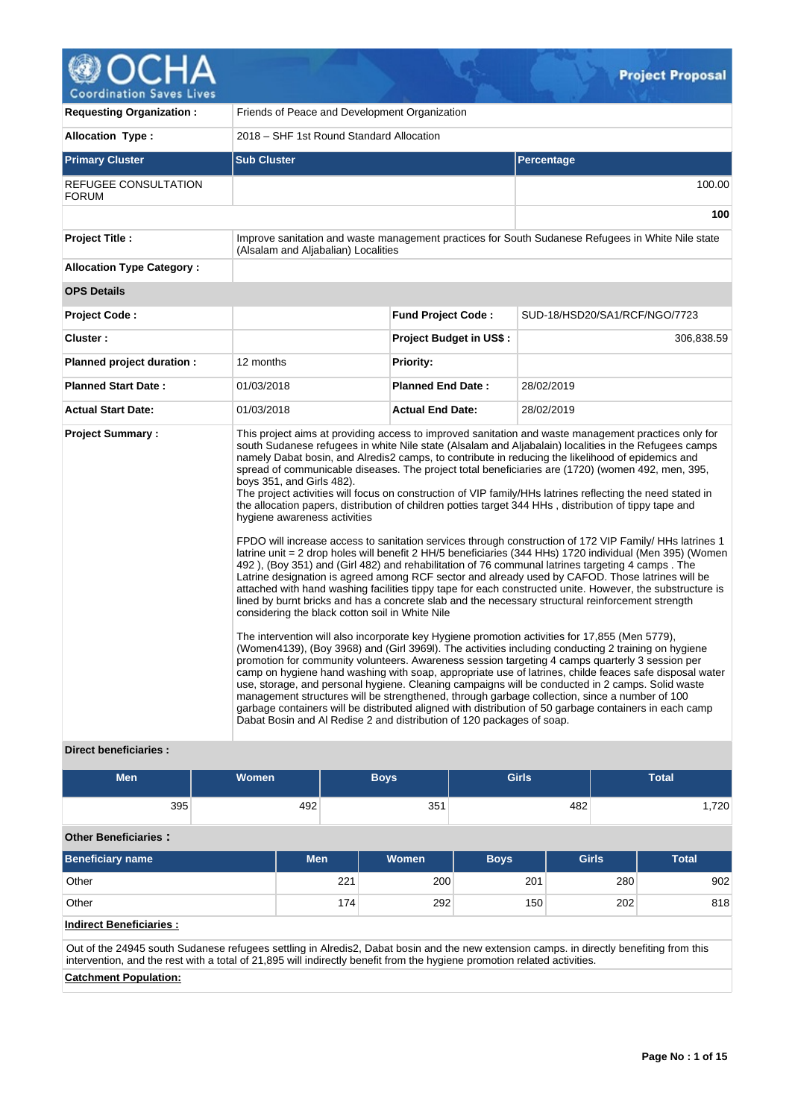

| <b>Requesting Organization:</b>      | Friends of Peace and Development Organization                                                                |                           |                                                                                                                                                                                                                                                                                                                                                                                                                                                                                                                                                                                                                                                                                                                                                                                                                                                                                                                                                                                                                                                                                                                                                                                                                                                                                                                                                                                                                                                                                                                                                                                                              |  |  |  |  |  |  |
|--------------------------------------|--------------------------------------------------------------------------------------------------------------|---------------------------|--------------------------------------------------------------------------------------------------------------------------------------------------------------------------------------------------------------------------------------------------------------------------------------------------------------------------------------------------------------------------------------------------------------------------------------------------------------------------------------------------------------------------------------------------------------------------------------------------------------------------------------------------------------------------------------------------------------------------------------------------------------------------------------------------------------------------------------------------------------------------------------------------------------------------------------------------------------------------------------------------------------------------------------------------------------------------------------------------------------------------------------------------------------------------------------------------------------------------------------------------------------------------------------------------------------------------------------------------------------------------------------------------------------------------------------------------------------------------------------------------------------------------------------------------------------------------------------------------------------|--|--|--|--|--|--|
| <b>Allocation Type:</b>              | 2018 – SHF 1st Round Standard Allocation                                                                     |                           |                                                                                                                                                                                                                                                                                                                                                                                                                                                                                                                                                                                                                                                                                                                                                                                                                                                                                                                                                                                                                                                                                                                                                                                                                                                                                                                                                                                                                                                                                                                                                                                                              |  |  |  |  |  |  |
| <b>Primary Cluster</b>               | <b>Sub Cluster</b>                                                                                           |                           | Percentage                                                                                                                                                                                                                                                                                                                                                                                                                                                                                                                                                                                                                                                                                                                                                                                                                                                                                                                                                                                                                                                                                                                                                                                                                                                                                                                                                                                                                                                                                                                                                                                                   |  |  |  |  |  |  |
| REFUGEE CONSULTATION<br><b>FORUM</b> |                                                                                                              |                           | 100.00                                                                                                                                                                                                                                                                                                                                                                                                                                                                                                                                                                                                                                                                                                                                                                                                                                                                                                                                                                                                                                                                                                                                                                                                                                                                                                                                                                                                                                                                                                                                                                                                       |  |  |  |  |  |  |
|                                      |                                                                                                              |                           | 100                                                                                                                                                                                                                                                                                                                                                                                                                                                                                                                                                                                                                                                                                                                                                                                                                                                                                                                                                                                                                                                                                                                                                                                                                                                                                                                                                                                                                                                                                                                                                                                                          |  |  |  |  |  |  |
| <b>Project Title:</b>                | (Alsalam and Aljabalian) Localities                                                                          |                           | Improve sanitation and waste management practices for South Sudanese Refugees in White Nile state                                                                                                                                                                                                                                                                                                                                                                                                                                                                                                                                                                                                                                                                                                                                                                                                                                                                                                                                                                                                                                                                                                                                                                                                                                                                                                                                                                                                                                                                                                            |  |  |  |  |  |  |
| <b>Allocation Type Category:</b>     |                                                                                                              |                           |                                                                                                                                                                                                                                                                                                                                                                                                                                                                                                                                                                                                                                                                                                                                                                                                                                                                                                                                                                                                                                                                                                                                                                                                                                                                                                                                                                                                                                                                                                                                                                                                              |  |  |  |  |  |  |
| <b>OPS Details</b>                   |                                                                                                              |                           |                                                                                                                                                                                                                                                                                                                                                                                                                                                                                                                                                                                                                                                                                                                                                                                                                                                                                                                                                                                                                                                                                                                                                                                                                                                                                                                                                                                                                                                                                                                                                                                                              |  |  |  |  |  |  |
| <b>Project Code:</b>                 |                                                                                                              | <b>Fund Project Code:</b> | SUD-18/HSD20/SA1/RCF/NGO/7723                                                                                                                                                                                                                                                                                                                                                                                                                                                                                                                                                                                                                                                                                                                                                                                                                                                                                                                                                                                                                                                                                                                                                                                                                                                                                                                                                                                                                                                                                                                                                                                |  |  |  |  |  |  |
| Cluster:                             |                                                                                                              | Project Budget in US\$ :  | 306,838.59                                                                                                                                                                                                                                                                                                                                                                                                                                                                                                                                                                                                                                                                                                                                                                                                                                                                                                                                                                                                                                                                                                                                                                                                                                                                                                                                                                                                                                                                                                                                                                                                   |  |  |  |  |  |  |
| Planned project duration :           | 12 months                                                                                                    | <b>Priority:</b>          |                                                                                                                                                                                                                                                                                                                                                                                                                                                                                                                                                                                                                                                                                                                                                                                                                                                                                                                                                                                                                                                                                                                                                                                                                                                                                                                                                                                                                                                                                                                                                                                                              |  |  |  |  |  |  |
| <b>Planned Start Date:</b>           | 01/03/2018                                                                                                   | <b>Planned End Date:</b>  | 28/02/2019                                                                                                                                                                                                                                                                                                                                                                                                                                                                                                                                                                                                                                                                                                                                                                                                                                                                                                                                                                                                                                                                                                                                                                                                                                                                                                                                                                                                                                                                                                                                                                                                   |  |  |  |  |  |  |
| <b>Actual Start Date:</b>            | 01/03/2018                                                                                                   | <b>Actual End Date:</b>   | 28/02/2019                                                                                                                                                                                                                                                                                                                                                                                                                                                                                                                                                                                                                                                                                                                                                                                                                                                                                                                                                                                                                                                                                                                                                                                                                                                                                                                                                                                                                                                                                                                                                                                                   |  |  |  |  |  |  |
| <b>Project Summary:</b>              | boys 351, and Girls 482).<br>hygiene awareness activities<br>considering the black cotton soil in White Nile |                           | This project aims at providing access to improved sanitation and waste management practices only for<br>south Sudanese refugees in white Nile state (Alsalam and Aljabalain) localities in the Refugees camps<br>namely Dabat bosin, and Alredis2 camps, to contribute in reducing the likelihood of epidemics and<br>spread of communicable diseases. The project total beneficiaries are (1720) (women 492, men, 395,<br>The project activities will focus on construction of VIP family/HHs latrines reflecting the need stated in<br>the allocation papers, distribution of children potties target 344 HHs, distribution of tippy tape and<br>FPDO will increase access to sanitation services through construction of 172 VIP Family/ HHs latrines 1<br>latrine unit = 2 drop holes will benefit 2 HH/5 beneficiaries (344 HHs) 1720 individual (Men 395) (Women<br>492), (Boy 351) and (Girl 482) and rehabilitation of 76 communal latrines targeting 4 camps. The<br>Latrine designation is agreed among RCF sector and already used by CAFOD. Those latrines will be<br>attached with hand washing facilities tippy tape for each constructed unite. However, the substructure is<br>lined by burnt bricks and has a concrete slab and the necessary structural reinforcement strength<br>The intervention will also incorporate key Hygiene promotion activities for 17,855 (Men 5779),<br>(Women4139), (Boy 3968) and (Girl 3969I). The activities including conducting 2 training on hygiene<br>promotion for community volunteers. Awareness session targeting 4 camps quarterly 3 session per |  |  |  |  |  |  |
|                                      | Dabat Bosin and AI Redise 2 and distribution of 120 packages of soap.                                        |                           | camp on hygiene hand washing with soap, appropriate use of latrines, childe feaces safe disposal water<br>use, storage, and personal hygiene. Cleaning campaigns will be conducted in 2 camps. Solid waste<br>management structures will be strengthened, through garbage collection, since a number of 100<br>garbage containers will be distributed aligned with distribution of 50 garbage containers in each camp                                                                                                                                                                                                                                                                                                                                                                                                                                                                                                                                                                                                                                                                                                                                                                                                                                                                                                                                                                                                                                                                                                                                                                                        |  |  |  |  |  |  |

## **Direct beneficiaries :**

| <b>Men</b>                  | Women | <b>Boys</b> | <b>Girls</b> | <b>Total</b> |
|-----------------------------|-------|-------------|--------------|--------------|
| 395                         | 492   | 351         | 482          | 1,720        |
| <b>Other Beneficiaries:</b> |       |             |              |              |

| <b>Beneficiary name</b> | <b>Men</b> | <b>Women</b> | <b>Boys</b> | <b>Girls</b> | <b>Total</b> |
|-------------------------|------------|--------------|-------------|--------------|--------------|
| Other                   | 221        | 200          | 201         | 280          | 902          |
| Other                   | 174        | 292          | 150         | 202          | 818          |

# **Indirect Beneficiaries :**

Out of the 24945 south Sudanese refugees settling in Alredis2, Dabat bosin and the new extension camps. in directly benefiting from this intervention, and the rest with a total of 21,895 will indirectly benefit from the hygiene promotion related activities.

# **Catchment Population:**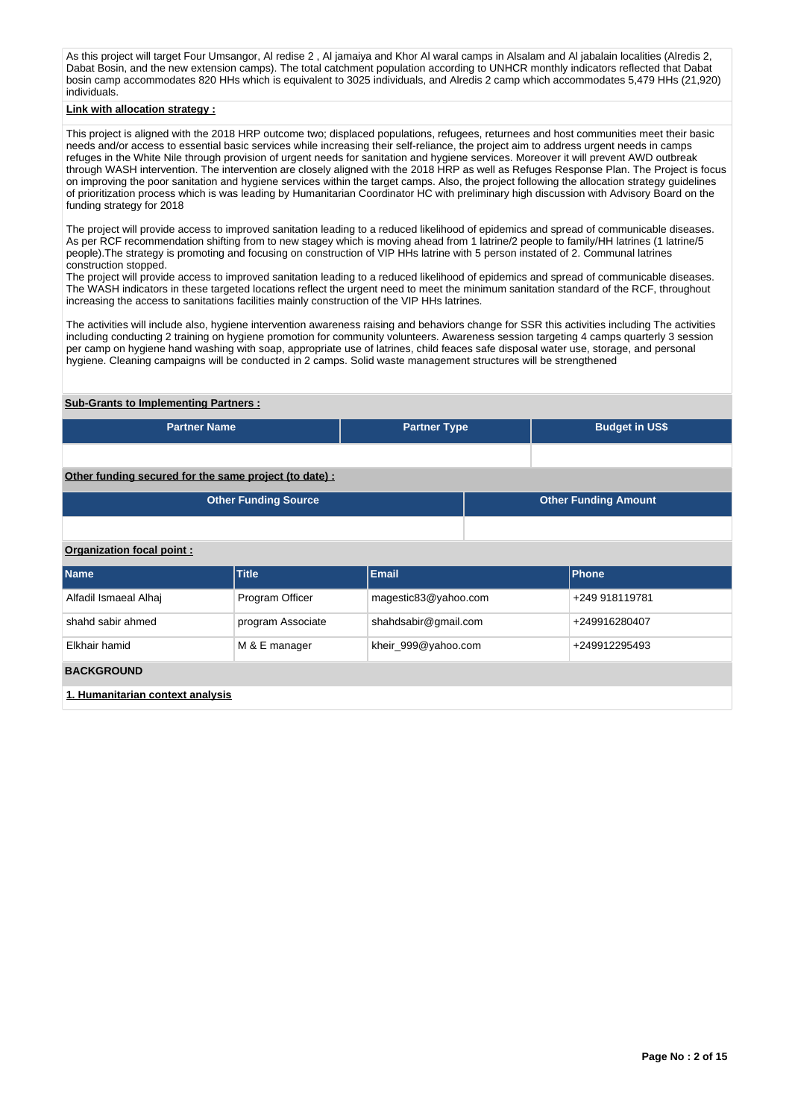As this project will target Four Umsangor, Al redise 2 , Al jamaiya and Khor Al waral camps in Alsalam and Al jabalain localities (Alredis 2, Dabat Bosin, and the new extension camps). The total catchment population according to UNHCR monthly indicators reflected that Dabat bosin camp accommodates 820 HHs which is equivalent to 3025 individuals, and Alredis 2 camp which accommodates 5,479 HHs (21,920) individuals.

### **Link with allocation strategy :**

This project is aligned with the 2018 HRP outcome two; displaced populations, refugees, returnees and host communities meet their basic needs and/or access to essential basic services while increasing their self-reliance, the project aim to address urgent needs in camps refuges in the White Nile through provision of urgent needs for sanitation and hygiene services. Moreover it will prevent AWD outbreak through WASH intervention. The intervention are closely aligned with the 2018 HRP as well as Refuges Response Plan. The Project is focus on improving the poor sanitation and hygiene services within the target camps. Also, the project following the allocation strategy guidelines of prioritization process which is was leading by Humanitarian Coordinator HC with preliminary high discussion with Advisory Board on the funding strategy for 2018

The project will provide access to improved sanitation leading to a reduced likelihood of epidemics and spread of communicable diseases. As per RCF recommendation shifting from to new stagey which is moving ahead from 1 latrine/2 people to family/HH latrines (1 latrine/5 people).The strategy is promoting and focusing on construction of VIP HHs latrine with 5 person instated of 2. Communal latrines construction stopped.

The project will provide access to improved sanitation leading to a reduced likelihood of epidemics and spread of communicable diseases. The WASH indicators in these targeted locations reflect the urgent need to meet the minimum sanitation standard of the RCF, throughout increasing the access to sanitations facilities mainly construction of the VIP HHs latrines.

The activities will include also, hygiene intervention awareness raising and behaviors change for SSR this activities including The activities including conducting 2 training on hygiene promotion for community volunteers. Awareness session targeting 4 camps quarterly 3 session per camp on hygiene hand washing with soap, appropriate use of latrines, child feaces safe disposal water use, storage, and personal hygiene. Cleaning campaigns will be conducted in 2 camps. Solid waste management structures will be strengthened

### **Sub-Grants to Implementing Partners :**

| <b>Partner Name</b>                                   | <b>Partner Type</b> | <b>Budget in US\$</b>       |
|-------------------------------------------------------|---------------------|-----------------------------|
|                                                       |                     |                             |
| Other funding secured for the same project (to date): |                     |                             |
| <b>Other Funding Source</b>                           |                     | <b>Other Funding Amount</b> |

#### **Organization focal point :**

| <b>Name</b>                                                                                                    | <b>Title</b>      | <b>Email</b>         | <b>Phone</b>   |
|----------------------------------------------------------------------------------------------------------------|-------------------|----------------------|----------------|
| Alfadil Ismaeal Alhai                                                                                          | Program Officer   | magestic83@yahoo.com | +249 918119781 |
| shahd sabir ahmed                                                                                              | program Associate | shahdsabir@gmail.com | +249916280407  |
| Elkhair hamid                                                                                                  | M & E manager     | kheir_999@yahoo.com  | +249912295493  |
| <b>BACKGROUND</b>                                                                                              |                   |                      |                |
| de la la composició de la continua de la construcción de la continua de la continua de la continua de la conti |                   |                      |                |

**1. Humanitarian context analysis**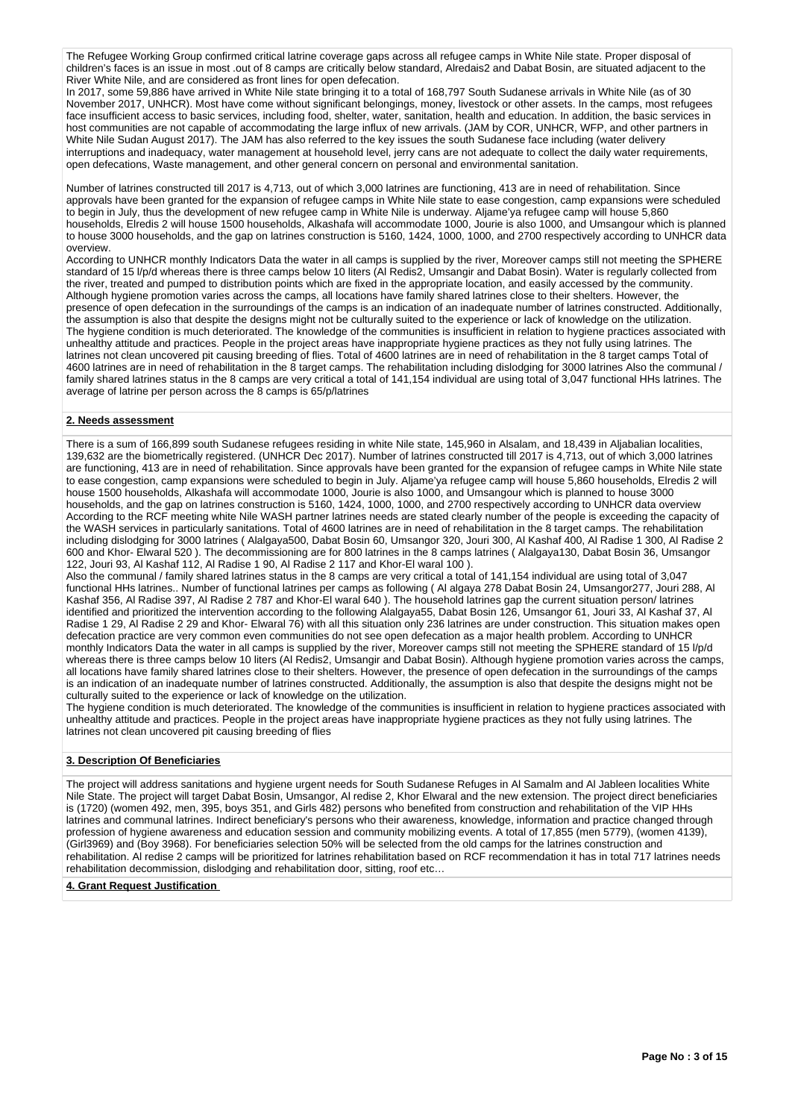The Refugee Working Group confirmed critical latrine coverage gaps across all refugee camps in White Nile state. Proper disposal of children's faces is an issue in most .out of 8 camps are critically below standard, Alredais2 and Dabat Bosin, are situated adjacent to the River White Nile, and are considered as front lines for open defecation.

In 2017, some 59,886 have arrived in White Nile state bringing it to a total of 168,797 South Sudanese arrivals in White Nile (as of 30 November 2017, UNHCR). Most have come without significant belongings, money, livestock or other assets. In the camps, most refugees face insufficient access to basic services, including food, shelter, water, sanitation, health and education. In addition, the basic services in host communities are not capable of accommodating the large influx of new arrivals. (JAM by COR, UNHCR, WFP, and other partners in White Nile Sudan August 2017). The JAM has also referred to the key issues the south Sudanese face including (water delivery interruptions and inadequacy, water management at household level, jerry cans are not adequate to collect the daily water requirements, open defecations, Waste management, and other general concern on personal and environmental sanitation.

Number of latrines constructed till 2017 is 4,713, out of which 3,000 latrines are functioning, 413 are in need of rehabilitation. Since approvals have been granted for the expansion of refugee camps in White Nile state to ease congestion, camp expansions were scheduled to begin in July, thus the development of new refugee camp in White Nile is underway. Aljame'ya refugee camp will house 5,860 households, Elredis 2 will house 1500 households, Alkashafa will accommodate 1000, Jourie is also 1000, and Umsangour which is planned to house 3000 households, and the gap on latrines construction is 5160, 1424, 1000, 1000, and 2700 respectively according to UNHCR data overview.

According to UNHCR monthly Indicators Data the water in all camps is supplied by the river, Moreover camps still not meeting the SPHERE standard of 15 l/p/d whereas there is three camps below 10 liters (Al Redis2, Umsangir and Dabat Bosin). Water is regularly collected from the river, treated and pumped to distribution points which are fixed in the appropriate location, and easily accessed by the community. Although hygiene promotion varies across the camps, all locations have family shared latrines close to their shelters. However, the presence of open defecation in the surroundings of the camps is an indication of an inadequate number of latrines constructed. Additionally, the assumption is also that despite the designs might not be culturally suited to the experience or lack of knowledge on the utilization. The hygiene condition is much deteriorated. The knowledge of the communities is insufficient in relation to hygiene practices associated with unhealthy attitude and practices. People in the project areas have inappropriate hygiene practices as they not fully using latrines. The latrines not clean uncovered pit causing breeding of flies. Total of 4600 latrines are in need of rehabilitation in the 8 target camps Total of 4600 latrines are in need of rehabilitation in the 8 target camps. The rehabilitation including dislodging for 3000 latrines Also the communal / family shared latrines status in the 8 camps are very critical a total of 141,154 individual are using total of 3,047 functional HHs latrines. The average of latrine per person across the 8 camps is 65/p/latrines

### **2. Needs assessment**

There is a sum of 166,899 south Sudanese refugees residing in white Nile state, 145,960 in Alsalam, and 18,439 in Aljabalian localities, 139,632 are the biometrically registered. (UNHCR Dec 2017). Number of latrines constructed till 2017 is 4,713, out of which 3,000 latrines are functioning, 413 are in need of rehabilitation. Since approvals have been granted for the expansion of refugee camps in White Nile state to ease congestion, camp expansions were scheduled to begin in July. Aljame'ya refugee camp will house 5,860 households, Elredis 2 will house 1500 households, Alkashafa will accommodate 1000, Jourie is also 1000, and Umsangour which is planned to house 3000 households, and the gap on latrines construction is 5160, 1424, 1000, 1000, and 2700 respectively according to UNHCR data overview According to the RCF meeting white Nile WASH partner latrines needs are stated clearly number of the people is exceeding the capacity of the WASH services in particularly sanitations. Total of 4600 latrines are in need of rehabilitation in the 8 target camps. The rehabilitation including dislodging for 3000 latrines ( Alalgaya500, Dabat Bosin 60, Umsangor 320, Jouri 300, Al Kashaf 400, Al Radise 1 300, Al Radise 2 600 and Khor- Elwaral 520 ). The decommissioning are for 800 latrines in the 8 camps latrines ( Alalgaya130, Dabat Bosin 36, Umsangor 122, Jouri 93, Al Kashaf 112, Al Radise 1 90, Al Radise 2 117 and Khor-El waral 100 ).

Also the communal / family shared latrines status in the 8 camps are very critical a total of 141,154 individual are using total of 3,047 functional HHs latrines.. Number of functional latrines per camps as following ( Al algaya 278 Dabat Bosin 24, Umsangor277, Jouri 288, Al Kashaf 356, Al Radise 397, Al Radise 2 787 and Khor-El waral 640 ). The household latrines gap the current situation person/ latrines identified and prioritized the intervention according to the following Alalgaya55, Dabat Bosin 126, Umsangor 61, Jouri 33, Al Kashaf 37, Al Radise 1 29, Al Radise 2 29 and Khor- Elwaral 76) with all this situation only 236 latrines are under construction. This situation makes open defecation practice are very common even communities do not see open defecation as a major health problem. According to UNHCR monthly Indicators Data the water in all camps is supplied by the river, Moreover camps still not meeting the SPHERE standard of 15 l/p/d whereas there is three camps below 10 liters (Al Redis2, Umsangir and Dabat Bosin). Although hygiene promotion varies across the camps, all locations have family shared latrines close to their shelters. However, the presence of open defecation in the surroundings of the camps is an indication of an inadequate number of latrines constructed. Additionally, the assumption is also that despite the designs might not be culturally suited to the experience or lack of knowledge on the utilization.

The hygiene condition is much deteriorated. The knowledge of the communities is insufficient in relation to hygiene practices associated with unhealthy attitude and practices. People in the project areas have inappropriate hygiene practices as they not fully using latrines. The latrines not clean uncovered pit causing breeding of flies

### **3. Description Of Beneficiaries**

The project will address sanitations and hygiene urgent needs for South Sudanese Refuges in Al Samalm and Al Jableen localities White Nile State. The project will target Dabat Bosin, Umsangor, Al redise 2, Khor Elwaral and the new extension. The project direct beneficiaries is (1720) (women 492, men, 395, boys 351, and Girls 482) persons who benefited from construction and rehabilitation of the VIP HHs latrines and communal latrines. Indirect beneficiary's persons who their awareness, knowledge, information and practice changed through profession of hygiene awareness and education session and community mobilizing events. A total of 17,855 (men 5779), (women 4139), (Girl3969) and (Boy 3968). For beneficiaries selection 50% will be selected from the old camps for the latrines construction and rehabilitation. Al redise 2 camps will be prioritized for latrines rehabilitation based on RCF recommendation it has in total 717 latrines needs rehabilitation decommission, dislodging and rehabilitation door, sitting, roof etc…

#### **4. Grant Request Justification**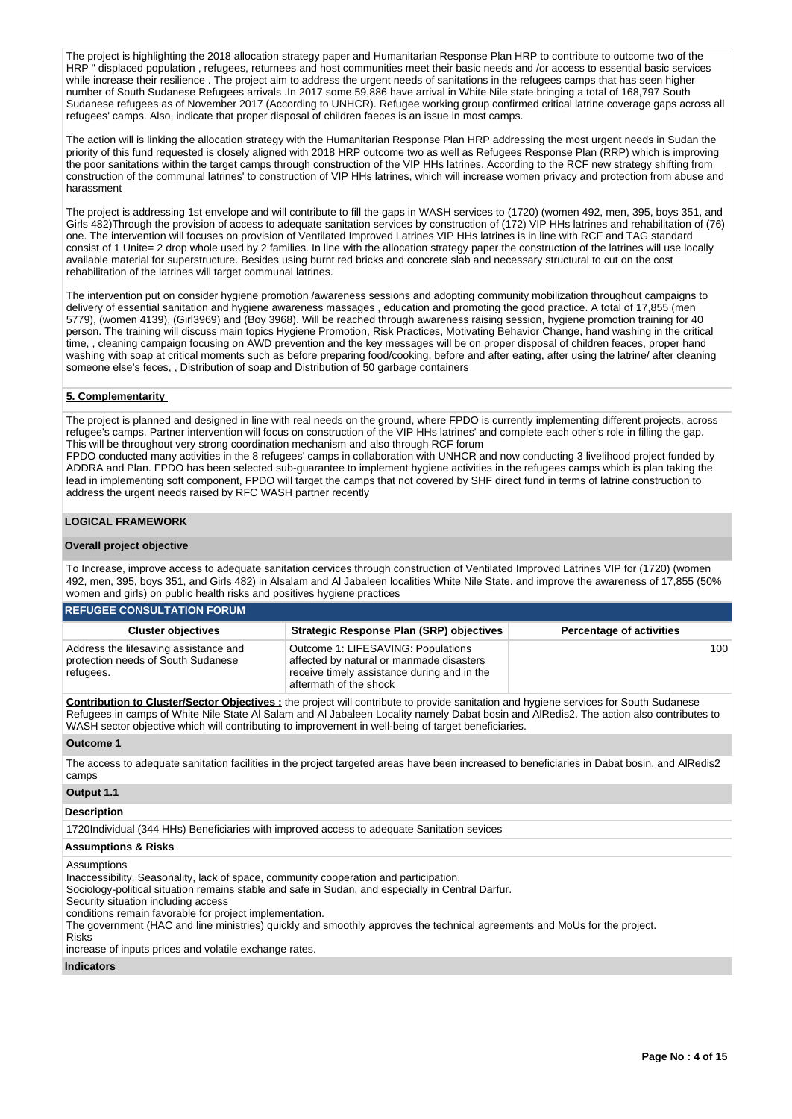The project is highlighting the 2018 allocation strategy paper and Humanitarian Response Plan HRP to contribute to outcome two of the HRP " displaced population , refugees, returnees and host communities meet their basic needs and /or access to essential basic services while increase their resilience . The project aim to address the urgent needs of sanitations in the refugees camps that has seen higher number of South Sudanese Refugees arrivals .In 2017 some 59,886 have arrival in White Nile state bringing a total of 168,797 South Sudanese refugees as of November 2017 (According to UNHCR). Refugee working group confirmed critical latrine coverage gaps across all refugees' camps. Also, indicate that proper disposal of children faeces is an issue in most camps.

The action will is linking the allocation strategy with the Humanitarian Response Plan HRP addressing the most urgent needs in Sudan the priority of this fund requested is closely aligned with 2018 HRP outcome two as well as Refugees Response Plan (RRP) which is improving the poor sanitations within the target camps through construction of the VIP HHs latrines. According to the RCF new strategy shifting from construction of the communal latrines' to construction of VIP HHs latrines, which will increase women privacy and protection from abuse and harassment

The project is addressing 1st envelope and will contribute to fill the gaps in WASH services to (1720) (women 492, men, 395, boys 351, and Girls 482)Through the provision of access to adequate sanitation services by construction of (172) VIP HHs latrines and rehabilitation of (76) one. The intervention will focuses on provision of Ventilated Improved Latrines VIP HHs latrines is in line with RCF and TAG standard consist of 1 Unite= 2 drop whole used by 2 families. In line with the allocation strategy paper the construction of the latrines will use locally available material for superstructure. Besides using burnt red bricks and concrete slab and necessary structural to cut on the cost rehabilitation of the latrines will target communal latrines.

The intervention put on consider hygiene promotion /awareness sessions and adopting community mobilization throughout campaigns to delivery of essential sanitation and hygiene awareness massages , education and promoting the good practice. A total of 17,855 (men 5779), (women 4139), (Girl3969) and (Boy 3968). Will be reached through awareness raising session, hygiene promotion training for 40 person. The training will discuss main topics Hygiene Promotion, Risk Practices, Motivating Behavior Change, hand washing in the critical time, , cleaning campaign focusing on AWD prevention and the key messages will be on proper disposal of children feaces, proper hand washing with soap at critical moments such as before preparing food/cooking, before and after eating, after using the latrine/ after cleaning someone else's feces, , Distribution of soap and Distribution of 50 garbage containers

### **5. Complementarity**

The project is planned and designed in line with real needs on the ground, where FPDO is currently implementing different projects, across refugee's camps. Partner intervention will focus on construction of the VIP HHs latrines' and complete each other's role in filling the gap. This will be throughout very strong coordination mechanism and also through RCF forum

FPDO conducted many activities in the 8 refugees' camps in collaboration with UNHCR and now conducting 3 livelihood project funded by ADDRA and Plan. FPDO has been selected sub-guarantee to implement hygiene activities in the refugees camps which is plan taking the lead in implementing soft component, FPDO will target the camps that not covered by SHF direct fund in terms of latrine construction to address the urgent needs raised by RFC WASH partner recently

### **LOGICAL FRAMEWORK**

### **Overall project objective**

To Increase, improve access to adequate sanitation cervices through construction of Ventilated Improved Latrines VIP for (1720) (women 492, men, 395, boys 351, and Girls 482) in Alsalam and Al Jabaleen localities White Nile State. and improve the awareness of 17,855 (50% women and girls) on public health risks and positives hygiene practices

| <b>REFUGEE CONSULTATION FORUM</b>                                                        |                                                                                                                                                         |                                 |  |  |  |  |  |  |  |  |
|------------------------------------------------------------------------------------------|---------------------------------------------------------------------------------------------------------------------------------------------------------|---------------------------------|--|--|--|--|--|--|--|--|
| <b>Cluster objectives</b>                                                                | Strategic Response Plan (SRP) objectives                                                                                                                | <b>Percentage of activities</b> |  |  |  |  |  |  |  |  |
| Address the lifesaving assistance and<br>protection needs of South Sudanese<br>refugees. | Outcome 1: LIFESAVING: Populations<br>affected by natural or manmade disasters<br>receive timely assistance during and in the<br>aftermath of the shock | 100                             |  |  |  |  |  |  |  |  |

**Contribution to Cluster/Sector Objectives :** the project will contribute to provide sanitation and hygiene services for South Sudanese Refugees in camps of White Nile State Al Salam and Al Jabaleen Locality namely Dabat bosin and AlRedis2. The action also contributes to WASH sector objective which will contributing to improvement in well-being of target beneficiaries.

### **Outcome 1**

The access to adequate sanitation facilities in the project targeted areas have been increased to beneficiaries in Dabat bosin, and AlRedis2 camps

# **Output 1.1**

**Description**

1720Individual (344 HHs) Beneficiaries with improved access to adequate Sanitation sevices

### **Assumptions & Risks**

Assumptions

Inaccessibility, Seasonality, lack of space, community cooperation and participation.

Sociology-political situation remains stable and safe in Sudan, and especially in Central Darfur.

Security situation including access

conditions remain favorable for project implementation.

The government (HAC and line ministries) quickly and smoothly approves the technical agreements and MoUs for the project.

Risks increase of inputs prices and volatile exchange rates.

**Indicators**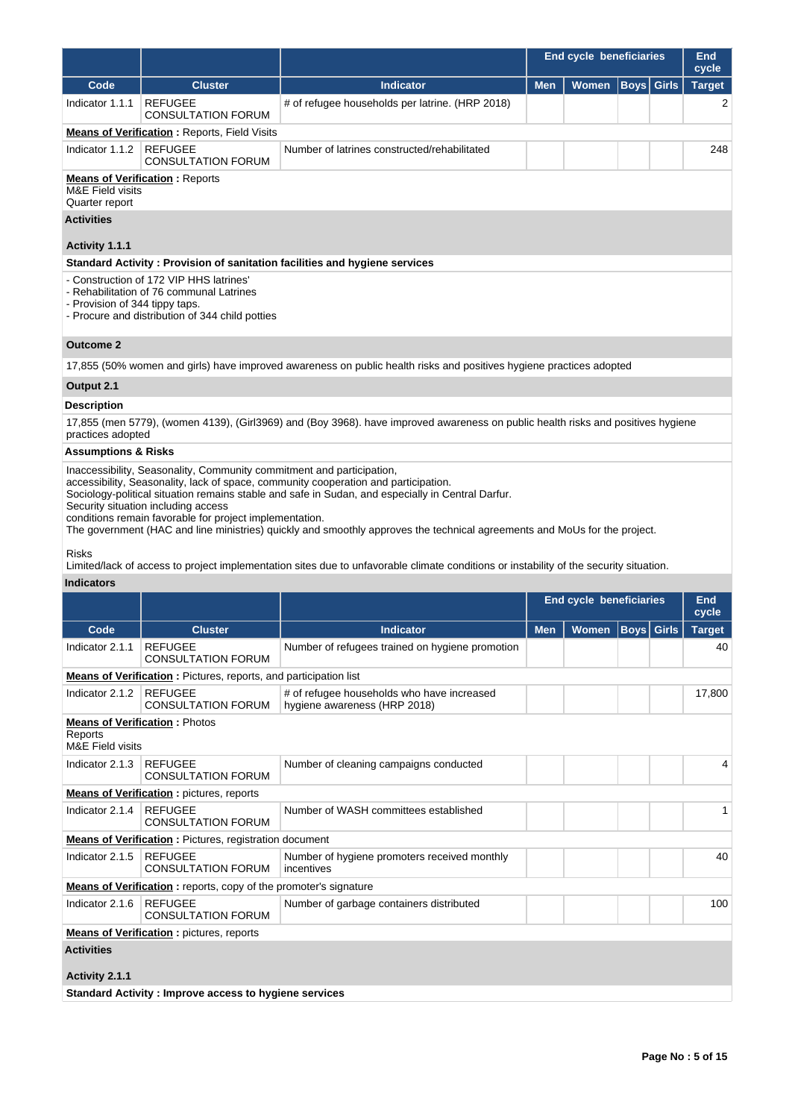|                                                                                                                                                                          |                                                                                                                                                                                                                                                                                                                                                                                                                                                                                                  |                                                                                                                                        |            | <b>End cycle beneficiaries</b> |                   |  | End<br>cycle  |  |  |  |
|--------------------------------------------------------------------------------------------------------------------------------------------------------------------------|--------------------------------------------------------------------------------------------------------------------------------------------------------------------------------------------------------------------------------------------------------------------------------------------------------------------------------------------------------------------------------------------------------------------------------------------------------------------------------------------------|----------------------------------------------------------------------------------------------------------------------------------------|------------|--------------------------------|-------------------|--|---------------|--|--|--|
| Code                                                                                                                                                                     | <b>Cluster</b>                                                                                                                                                                                                                                                                                                                                                                                                                                                                                   | <b>Indicator</b>                                                                                                                       | <b>Men</b> | Women                          | <b>Boys</b> Girls |  | <b>Target</b> |  |  |  |
| Indicator 1.1.1                                                                                                                                                          | <b>REFUGEE</b><br><b>CONSULTATION FORUM</b>                                                                                                                                                                                                                                                                                                                                                                                                                                                      | # of refugee households per latrine. (HRP 2018)                                                                                        |            |                                |                   |  | 2             |  |  |  |
|                                                                                                                                                                          | <b>Means of Verification: Reports, Field Visits</b>                                                                                                                                                                                                                                                                                                                                                                                                                                              |                                                                                                                                        |            |                                |                   |  |               |  |  |  |
| Indicator 1.1.2                                                                                                                                                          | <b>REFUGEE</b><br><b>CONSULTATION FORUM</b>                                                                                                                                                                                                                                                                                                                                                                                                                                                      | Number of latrines constructed/rehabilitated                                                                                           |            |                                |                   |  | 248           |  |  |  |
| <b>Means of Verification: Reports</b><br>M&E Field visits<br>Quarter report                                                                                              |                                                                                                                                                                                                                                                                                                                                                                                                                                                                                                  |                                                                                                                                        |            |                                |                   |  |               |  |  |  |
| <b>Activities</b>                                                                                                                                                        |                                                                                                                                                                                                                                                                                                                                                                                                                                                                                                  |                                                                                                                                        |            |                                |                   |  |               |  |  |  |
| Activity 1.1.1                                                                                                                                                           |                                                                                                                                                                                                                                                                                                                                                                                                                                                                                                  |                                                                                                                                        |            |                                |                   |  |               |  |  |  |
|                                                                                                                                                                          |                                                                                                                                                                                                                                                                                                                                                                                                                                                                                                  | Standard Activity: Provision of sanitation facilities and hygiene services                                                             |            |                                |                   |  |               |  |  |  |
| - Construction of 172 VIP HHS latrines'<br>- Rehabilitation of 76 communal Latrines<br>- Provision of 344 tippy taps.<br>- Procure and distribution of 344 child potties |                                                                                                                                                                                                                                                                                                                                                                                                                                                                                                  |                                                                                                                                        |            |                                |                   |  |               |  |  |  |
| <b>Outcome 2</b>                                                                                                                                                         |                                                                                                                                                                                                                                                                                                                                                                                                                                                                                                  |                                                                                                                                        |            |                                |                   |  |               |  |  |  |
|                                                                                                                                                                          |                                                                                                                                                                                                                                                                                                                                                                                                                                                                                                  | 17,855 (50% women and girls) have improved awareness on public health risks and positives hygiene practices adopted                    |            |                                |                   |  |               |  |  |  |
| Output 2.1                                                                                                                                                               |                                                                                                                                                                                                                                                                                                                                                                                                                                                                                                  |                                                                                                                                        |            |                                |                   |  |               |  |  |  |
| <b>Description</b>                                                                                                                                                       |                                                                                                                                                                                                                                                                                                                                                                                                                                                                                                  |                                                                                                                                        |            |                                |                   |  |               |  |  |  |
| practices adopted                                                                                                                                                        |                                                                                                                                                                                                                                                                                                                                                                                                                                                                                                  | 17,855 (men 5779), (women 4139), (Girl3969) and (Boy 3968). have improved awareness on public health risks and positives hygiene       |            |                                |                   |  |               |  |  |  |
| <b>Assumptions &amp; Risks</b>                                                                                                                                           |                                                                                                                                                                                                                                                                                                                                                                                                                                                                                                  |                                                                                                                                        |            |                                |                   |  |               |  |  |  |
|                                                                                                                                                                          | Inaccessibility, Seasonality, Community commitment and participation,<br>accessibility, Seasonality, lack of space, community cooperation and participation.<br>Sociology-political situation remains stable and safe in Sudan, and especially in Central Darfur.<br>Security situation including access<br>conditions remain favorable for project implementation.<br>The government (HAC and line ministries) quickly and smoothly approves the technical agreements and MoUs for the project. |                                                                                                                                        |            |                                |                   |  |               |  |  |  |
| <b>Risks</b>                                                                                                                                                             |                                                                                                                                                                                                                                                                                                                                                                                                                                                                                                  | Limited/lack of access to project implementation sites due to unfavorable climate conditions or instability of the security situation. |            |                                |                   |  |               |  |  |  |
| <b>Indicators</b>                                                                                                                                                        |                                                                                                                                                                                                                                                                                                                                                                                                                                                                                                  |                                                                                                                                        |            |                                |                   |  |               |  |  |  |
|                                                                                                                                                                          |                                                                                                                                                                                                                                                                                                                                                                                                                                                                                                  |                                                                                                                                        |            | End ovelo bonoficiarios        |                   |  | End           |  |  |  |

|                                        |                                                                         |                                                                            | End cycle beneficiaries |              |                   |  | End<br>cycle  |
|----------------------------------------|-------------------------------------------------------------------------|----------------------------------------------------------------------------|-------------------------|--------------|-------------------|--|---------------|
| Code                                   | <b>Cluster</b>                                                          | <b>Indicator</b>                                                           | <b>Men</b>              | <b>Women</b> | <b>Boys</b> Girls |  | <b>Target</b> |
| Indicator 2.1.1                        | <b>REFUGEE</b><br><b>CONSULTATION FORUM</b>                             | Number of refugees trained on hygiene promotion                            |                         |              |                   |  | 40            |
|                                        | <b>Means of Verification:</b> Pictures, reports, and participation list |                                                                            |                         |              |                   |  |               |
| Indicator 2.1.2                        | <b>REFUGEE</b><br><b>CONSULTATION FORUM</b>                             | # of refugee households who have increased<br>hygiene awareness (HRP 2018) |                         |              |                   |  | 17,800        |
| Reports<br><b>M&amp;E</b> Field visits | <b>Means of Verification: Photos</b>                                    |                                                                            |                         |              |                   |  |               |
| Indicator 2.1.3                        | <b>REFUGEE</b><br><b>CONSULTATION FORUM</b>                             | Number of cleaning campaigns conducted                                     |                         |              |                   |  | 4             |
|                                        | <b>Means of Verification:</b> pictures, reports                         |                                                                            |                         |              |                   |  |               |
| Indicator 2.1.4                        | <b>REFUGEE</b><br><b>CONSULTATION FORUM</b>                             | Number of WASH committees established                                      |                         |              |                   |  |               |
|                                        | <b>Means of Verification:</b> Pictures, registration document           |                                                                            |                         |              |                   |  |               |
| Indicator 2.1.5                        | <b>REFUGEE</b><br><b>CONSULTATION FORUM</b>                             | Number of hygiene promoters received monthly<br>incentives                 |                         |              |                   |  | 40            |
|                                        | Means of Verification: reports, copy of the promoter's signature        |                                                                            |                         |              |                   |  |               |
| Indicator 2.1.6                        | <b>REFUGEE</b><br><b>CONSULTATION FORUM</b>                             | Number of garbage containers distributed                                   |                         |              |                   |  | 100           |
|                                        | <b>Means of Verification:</b> pictures, reports                         |                                                                            |                         |              |                   |  |               |
| <b>Activities</b>                      |                                                                         |                                                                            |                         |              |                   |  |               |
| Activity 2.1.1                         |                                                                         |                                                                            |                         |              |                   |  |               |

**Standard Activity : Improve access to hygiene services**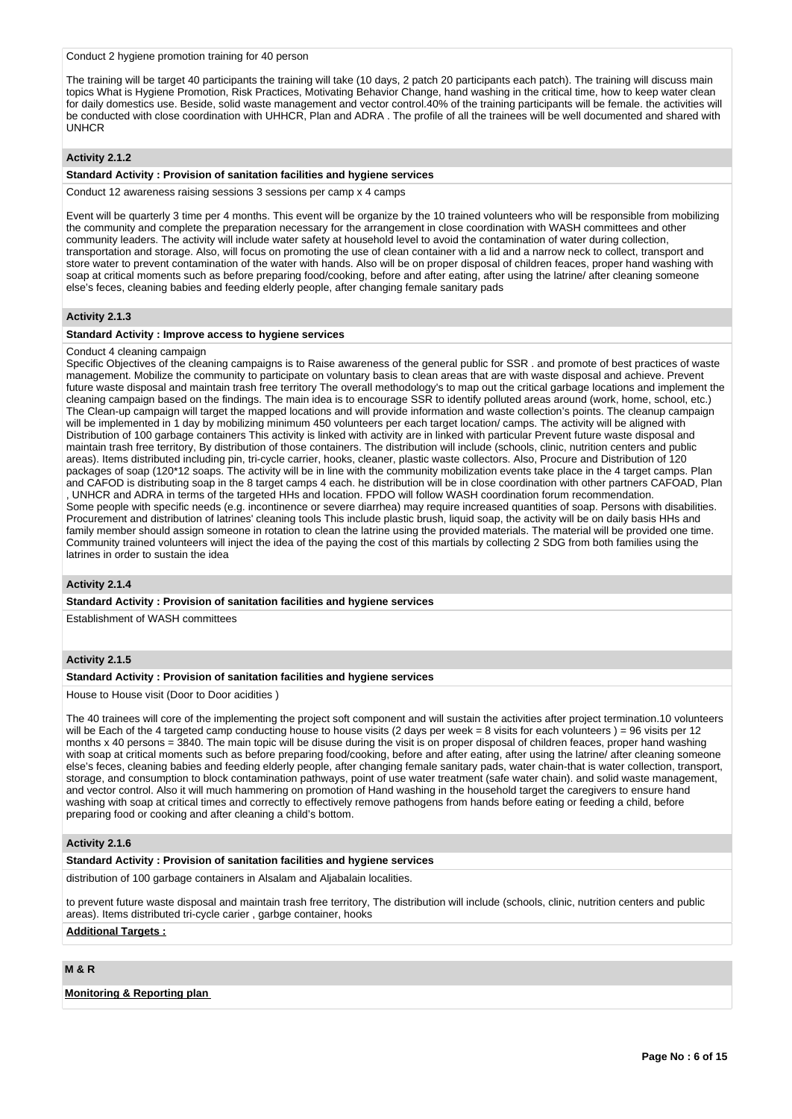#### Conduct 2 hygiene promotion training for 40 person

The training will be target 40 participants the training will take (10 days, 2 patch 20 participants each patch). The training will discuss main topics What is Hygiene Promotion, Risk Practices, Motivating Behavior Change, hand washing in the critical time, how to keep water clean for daily domestics use. Beside, solid waste management and vector control.40% of the training participants will be female. the activities will be conducted with close coordination with UHHCR, Plan and ADRA . The profile of all the trainees will be well documented and shared with UNHCR

### **Activity 2.1.2**

#### **Standard Activity : Provision of sanitation facilities and hygiene services**

Conduct 12 awareness raising sessions 3 sessions per camp x 4 camps

Event will be quarterly 3 time per 4 months. This event will be organize by the 10 trained volunteers who will be responsible from mobilizing the community and complete the preparation necessary for the arrangement in close coordination with WASH committees and other community leaders. The activity will include water safety at household level to avoid the contamination of water during collection, transportation and storage. Also, will focus on promoting the use of clean container with a lid and a narrow neck to collect, transport and store water to prevent contamination of the water with hands. Also will be on proper disposal of children feaces, proper hand washing with soap at critical moments such as before preparing food/cooking, before and after eating, after using the latrine/ after cleaning someone else's feces, cleaning babies and feeding elderly people, after changing female sanitary pads

### **Activity 2.1.3**

#### **Standard Activity : Improve access to hygiene services**

#### Conduct 4 cleaning campaign

Specific Objectives of the cleaning campaigns is to Raise awareness of the general public for SSR . and promote of best practices of waste management. Mobilize the community to participate on voluntary basis to clean areas that are with waste disposal and achieve. Prevent future waste disposal and maintain trash free territory The overall methodology's to map out the critical garbage locations and implement the cleaning campaign based on the findings. The main idea is to encourage SSR to identify polluted areas around (work, home, school, etc.) The Clean-up campaign will target the mapped locations and will provide information and waste collection's points. The cleanup campaign will be implemented in 1 day by mobilizing minimum 450 volunteers per each target location/ camps. The activity will be aligned with Distribution of 100 garbage containers This activity is linked with activity are in linked with particular Prevent future waste disposal and maintain trash free territory, By distribution of those containers. The distribution will include (schools, clinic, nutrition centers and public areas). Items distributed including pin, tri-cycle carrier, hooks, cleaner, plastic waste collectors. Also, Procure and Distribution of 120 packages of soap (120\*12 soaps. The activity will be in line with the community mobilization events take place in the 4 target camps. Plan and CAFOD is distributing soap in the 8 target camps 4 each. he distribution will be in close coordination with other partners CAFOAD, Plan , UNHCR and ADRA in terms of the targeted HHs and location. FPDO will follow WASH coordination forum recommendation. Some people with specific needs (e.g. incontinence or severe diarrhea) may require increased quantities of soap. Persons with disabilities. Procurement and distribution of latrines' cleaning tools This include plastic brush, liquid soap, the activity will be on daily basis HHs and family member should assign someone in rotation to clean the latrine using the provided materials. The material will be provided one time. Community trained volunteers will inject the idea of the paying the cost of this martials by collecting 2 SDG from both families using the latrines in order to sustain the idea

#### **Activity 2.1.4**

**Standard Activity : Provision of sanitation facilities and hygiene services**

Establishment of WASH committees

### **Activity 2.1.5**

#### **Standard Activity : Provision of sanitation facilities and hygiene services**

House to House visit (Door to Door acidities )

The 40 trainees will core of the implementing the project soft component and will sustain the activities after project termination.10 volunteers will be Each of the 4 targeted camp conducting house to house visits (2 days per week = 8 visits for each volunteers) = 96 visits per 12 months x 40 persons = 3840. The main topic will be disuse during the visit is on proper disposal of children feaces, proper hand washing with soap at critical moments such as before preparing food/cooking, before and after eating, after using the latrine/ after cleaning someone else's feces, cleaning babies and feeding elderly people, after changing female sanitary pads, water chain-that is water collection, transport, storage, and consumption to block contamination pathways, point of use water treatment (safe water chain). and solid waste management, and vector control. Also it will much hammering on promotion of Hand washing in the household target the caregivers to ensure hand washing with soap at critical times and correctly to effectively remove pathogens from hands before eating or feeding a child, before preparing food or cooking and after cleaning a child's bottom.

#### **Activity 2.1.6**

#### **Standard Activity : Provision of sanitation facilities and hygiene services**

distribution of 100 garbage containers in Alsalam and Aljabalain localities.

to prevent future waste disposal and maintain trash free territory, The distribution will include (schools, clinic, nutrition centers and public areas). Items distributed tri-cycle carier , garbge container, hooks

# **Additional Targets :**

### **M & R**

### **Monitoring & Reporting plan**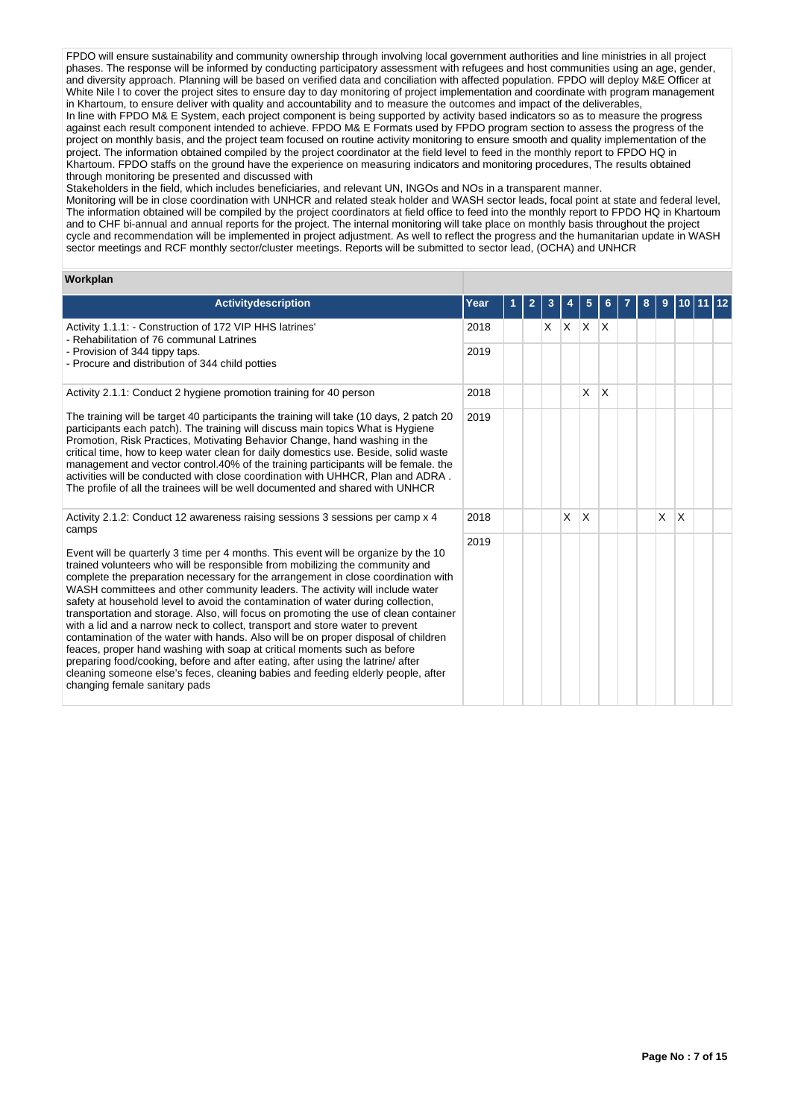FPDO will ensure sustainability and community ownership through involving local government authorities and line ministries in all project phases. The response will be informed by conducting participatory assessment with refugees and host communities using an age, gender, and diversity approach. Planning will be based on verified data and conciliation with affected population. FPDO will deploy M&E Officer at White Nile I to cover the project sites to ensure day to day monitoring of project implementation and coordinate with program management in Khartoum, to ensure deliver with quality and accountability and to measure the outcomes and impact of the deliverables, In line with FPDO M& E System, each project component is being supported by activity based indicators so as to measure the progress against each result component intended to achieve. FPDO M& E Formats used by FPDO program section to assess the progress of the project on monthly basis, and the project team focused on routine activity monitoring to ensure smooth and quality implementation of the project. The information obtained compiled by the project coordinator at the field level to feed in the monthly report to FPDO HQ in Khartoum. FPDO staffs on the ground have the experience on measuring indicators and monitoring procedures, The results obtained through monitoring be presented and discussed with

Stakeholders in the field, which includes beneficiaries, and relevant UN, INGOs and NOs in a transparent manner.

Monitoring will be in close coordination with UNHCR and related steak holder and WASH sector leads, focal point at state and federal level, The information obtained will be compiled by the project coordinators at field office to feed into the monthly report to FPDO HQ in Khartoum and to CHF bi-annual and annual reports for the project. The internal monitoring will take place on monthly basis throughout the project cycle and recommendation will be implemented in project adjustment. As well to reflect the progress and the humanitarian update in WASH sector meetings and RCF monthly sector/cluster meetings. Reports will be submitted to sector lead, (OCHA) and UNHCR

#### **Workplan**

| Activitydescription                                                                                                                                                                                                                                                                                                                                                                                                                                                                                                                                                                                                                                                                                                                                                                                                                                                                                                                                                            | Year | 2 | 3  |   | 5                       | 6.           | 8 | 9 |          |  |
|--------------------------------------------------------------------------------------------------------------------------------------------------------------------------------------------------------------------------------------------------------------------------------------------------------------------------------------------------------------------------------------------------------------------------------------------------------------------------------------------------------------------------------------------------------------------------------------------------------------------------------------------------------------------------------------------------------------------------------------------------------------------------------------------------------------------------------------------------------------------------------------------------------------------------------------------------------------------------------|------|---|----|---|-------------------------|--------------|---|---|----------|--|
| Activity 1.1.1: - Construction of 172 VIP HHS latrines'<br>- Rehabilitation of 76 communal Latrines                                                                                                                                                                                                                                                                                                                                                                                                                                                                                                                                                                                                                                                                                                                                                                                                                                                                            |      |   | X. | X | <sup>X</sup>            | $\mathsf{X}$ |   |   |          |  |
| - Provision of 344 tippy taps.<br>- Procure and distribution of 344 child potties                                                                                                                                                                                                                                                                                                                                                                                                                                                                                                                                                                                                                                                                                                                                                                                                                                                                                              | 2019 |   |    |   |                         |              |   |   |          |  |
| Activity 2.1.1: Conduct 2 hygiene promotion training for 40 person                                                                                                                                                                                                                                                                                                                                                                                                                                                                                                                                                                                                                                                                                                                                                                                                                                                                                                             | 2018 |   |    |   | X                       | $\times$     |   |   |          |  |
| The training will be target 40 participants the training will take (10 days, 2 patch 20<br>participants each patch). The training will discuss main topics What is Hygiene<br>Promotion, Risk Practices, Motivating Behavior Change, hand washing in the<br>critical time, how to keep water clean for daily domestics use. Beside, solid waste<br>management and vector control.40% of the training participants will be female. the<br>activities will be conducted with close coordination with UHHCR, Plan and ADRA.<br>The profile of all the trainees will be well documented and shared with UNHCR                                                                                                                                                                                                                                                                                                                                                                      | 2019 |   |    |   |                         |              |   |   |          |  |
| Activity 2.1.2: Conduct 12 awareness raising sessions 3 sessions per camp x 4<br>camps                                                                                                                                                                                                                                                                                                                                                                                                                                                                                                                                                                                                                                                                                                                                                                                                                                                                                         | 2018 |   |    | X | $\overline{\mathsf{x}}$ |              |   | X | $\times$ |  |
| Event will be quarterly 3 time per 4 months. This event will be organize by the 10<br>trained volunteers who will be responsible from mobilizing the community and<br>complete the preparation necessary for the arrangement in close coordination with<br>WASH committees and other community leaders. The activity will include water<br>safety at household level to avoid the contamination of water during collection,<br>transportation and storage. Also, will focus on promoting the use of clean container<br>with a lid and a narrow neck to collect, transport and store water to prevent<br>contamination of the water with hands. Also will be on proper disposal of children<br>feaces, proper hand washing with soap at critical moments such as before<br>preparing food/cooking, before and after eating, after using the latrine/ after<br>cleaning someone else's feces, cleaning babies and feeding elderly people, after<br>changing female sanitary pads | 2019 |   |    |   |                         |              |   |   |          |  |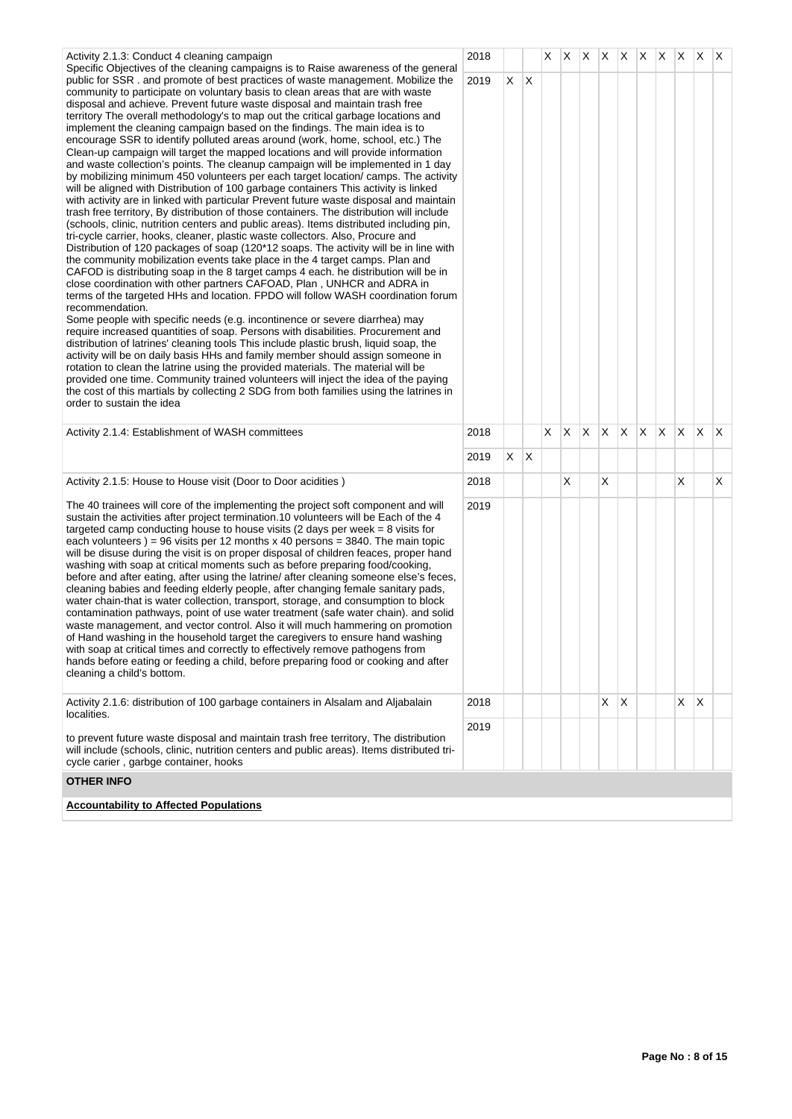| Activity 2.1.3: Conduct 4 cleaning campaign                                                                                                                                                                                                                                                                                                                                                                                                                                                                                                                                                                                                                                                                                                                                                                                                                                                                                                                                                                                                                                                                                                                                                                                                                                                                                                                                                                                                                                                                                                                                                                                                                                                                                                                                                                                                                                                                                                                                                                                                                                                                                                                                                                                                                                                                                                                                                                      | 2018 |    |              | X. | $X$ $X$      |    | $X$ $X$ $X$ $X$ $X$ $X$ |     |              |    |              |              |              |
|------------------------------------------------------------------------------------------------------------------------------------------------------------------------------------------------------------------------------------------------------------------------------------------------------------------------------------------------------------------------------------------------------------------------------------------------------------------------------------------------------------------------------------------------------------------------------------------------------------------------------------------------------------------------------------------------------------------------------------------------------------------------------------------------------------------------------------------------------------------------------------------------------------------------------------------------------------------------------------------------------------------------------------------------------------------------------------------------------------------------------------------------------------------------------------------------------------------------------------------------------------------------------------------------------------------------------------------------------------------------------------------------------------------------------------------------------------------------------------------------------------------------------------------------------------------------------------------------------------------------------------------------------------------------------------------------------------------------------------------------------------------------------------------------------------------------------------------------------------------------------------------------------------------------------------------------------------------------------------------------------------------------------------------------------------------------------------------------------------------------------------------------------------------------------------------------------------------------------------------------------------------------------------------------------------------------------------------------------------------------------------------------------------------|------|----|--------------|----|--------------|----|-------------------------|-----|--------------|----|--------------|--------------|--------------|
| Specific Objectives of the cleaning campaigns is to Raise awareness of the general<br>public for SSR, and promote of best practices of waste management. Mobilize the<br>community to participate on voluntary basis to clean areas that are with waste<br>disposal and achieve. Prevent future waste disposal and maintain trash free<br>territory The overall methodology's to map out the critical garbage locations and<br>implement the cleaning campaign based on the findings. The main idea is to<br>encourage SSR to identify polluted areas around (work, home, school, etc.) The<br>Clean-up campaign will target the mapped locations and will provide information<br>and waste collection's points. The cleanup campaign will be implemented in 1 day<br>by mobilizing minimum 450 volunteers per each target location/camps. The activity<br>will be aligned with Distribution of 100 garbage containers This activity is linked<br>with activity are in linked with particular Prevent future waste disposal and maintain<br>trash free territory, By distribution of those containers. The distribution will include<br>(schools, clinic, nutrition centers and public areas). Items distributed including pin,<br>tri-cycle carrier, hooks, cleaner, plastic waste collectors. Also, Procure and<br>Distribution of 120 packages of soap (120*12 soaps. The activity will be in line with<br>the community mobilization events take place in the 4 target camps. Plan and<br>CAFOD is distributing soap in the 8 target camps 4 each. he distribution will be in<br>close coordination with other partners CAFOAD, Plan, UNHCR and ADRA in<br>terms of the targeted HHs and location. FPDO will follow WASH coordination forum<br>recommendation.<br>Some people with specific needs (e.g. incontinence or severe diarrhea) may<br>require increased quantities of soap. Persons with disabilities. Procurement and<br>distribution of latrines' cleaning tools This include plastic brush, liquid soap, the<br>activity will be on daily basis HHs and family member should assign someone in<br>rotation to clean the latrine using the provided materials. The material will be<br>provided one time. Community trained volunteers will inject the idea of the paying<br>the cost of this martials by collecting 2 SDG from both families using the latrines in<br>order to sustain the idea | 2019 | X. | $\mathsf{X}$ |    |              |    |                         |     |              |    |              |              |              |
| Activity 2.1.4: Establishment of WASH committees                                                                                                                                                                                                                                                                                                                                                                                                                                                                                                                                                                                                                                                                                                                                                                                                                                                                                                                                                                                                                                                                                                                                                                                                                                                                                                                                                                                                                                                                                                                                                                                                                                                                                                                                                                                                                                                                                                                                                                                                                                                                                                                                                                                                                                                                                                                                                                 | 2018 |    |              | X. | $\mathsf{X}$ | X. | IX.                     | X   | $\mathsf{X}$ | X. | $\mathsf{X}$ | $\mathsf{X}$ | $\mathsf{X}$ |
|                                                                                                                                                                                                                                                                                                                                                                                                                                                                                                                                                                                                                                                                                                                                                                                                                                                                                                                                                                                                                                                                                                                                                                                                                                                                                                                                                                                                                                                                                                                                                                                                                                                                                                                                                                                                                                                                                                                                                                                                                                                                                                                                                                                                                                                                                                                                                                                                                  | 2019 | XX |              |    |              |    |                         |     |              |    |              |              |              |
| Activity 2.1.5: House to House visit (Door to Door acidities)                                                                                                                                                                                                                                                                                                                                                                                                                                                                                                                                                                                                                                                                                                                                                                                                                                                                                                                                                                                                                                                                                                                                                                                                                                                                                                                                                                                                                                                                                                                                                                                                                                                                                                                                                                                                                                                                                                                                                                                                                                                                                                                                                                                                                                                                                                                                                    | 2018 |    |              |    | X            |    | X                       |     |              |    | X            |              | X            |
| The 40 trainees will core of the implementing the project soft component and will<br>sustain the activities after project termination.10 volunteers will be Each of the 4<br>targeted camp conducting house to house visits (2 days per week $= 8$ visits for<br>each volunteers $) = 96$ visits per 12 months x 40 persons = 3840. The main topic<br>will be disuse during the visit is on proper disposal of children feaces, proper hand<br>washing with soap at critical moments such as before preparing food/cooking,<br>before and after eating, after using the latrine/ after cleaning someone else's feces,<br>cleaning babies and feeding elderly people, after changing female sanitary pads,<br>water chain-that is water collection, transport, storage, and consumption to block<br>contamination pathways, point of use water treatment (safe water chain). and solid<br>waste management, and vector control. Also it will much hammering on promotion<br>of Hand washing in the household target the caregivers to ensure hand washing<br>with soap at critical times and correctly to effectively remove pathogens from<br>hands before eating or feeding a child, before preparing food or cooking and after<br>cleaning a child's bottom.                                                                                                                                                                                                                                                                                                                                                                                                                                                                                                                                                                                                                                                                                                                                                                                                                                                                                                                                                                                                                                                                                                                                                   | 2019 |    |              |    |              |    |                         |     |              |    |              |              |              |
| Activity 2.1.6: distribution of 100 garbage containers in Alsalam and Aljabalain<br>localities.                                                                                                                                                                                                                                                                                                                                                                                                                                                                                                                                                                                                                                                                                                                                                                                                                                                                                                                                                                                                                                                                                                                                                                                                                                                                                                                                                                                                                                                                                                                                                                                                                                                                                                                                                                                                                                                                                                                                                                                                                                                                                                                                                                                                                                                                                                                  | 2018 |    |              |    |              |    | X.                      | ΙX. |              |    | X.           | $\mathsf{X}$ |              |
| to prevent future waste disposal and maintain trash free territory. The distribution<br>will include (schools, clinic, nutrition centers and public areas). Items distributed tri-<br>cycle carier, garbge container, hooks                                                                                                                                                                                                                                                                                                                                                                                                                                                                                                                                                                                                                                                                                                                                                                                                                                                                                                                                                                                                                                                                                                                                                                                                                                                                                                                                                                                                                                                                                                                                                                                                                                                                                                                                                                                                                                                                                                                                                                                                                                                                                                                                                                                      | 2019 |    |              |    |              |    |                         |     |              |    |              |              |              |
| <b>OTHER INFO</b>                                                                                                                                                                                                                                                                                                                                                                                                                                                                                                                                                                                                                                                                                                                                                                                                                                                                                                                                                                                                                                                                                                                                                                                                                                                                                                                                                                                                                                                                                                                                                                                                                                                                                                                                                                                                                                                                                                                                                                                                                                                                                                                                                                                                                                                                                                                                                                                                |      |    |              |    |              |    |                         |     |              |    |              |              |              |
| <b>Accountability to Affected Populations</b>                                                                                                                                                                                                                                                                                                                                                                                                                                                                                                                                                                                                                                                                                                                                                                                                                                                                                                                                                                                                                                                                                                                                                                                                                                                                                                                                                                                                                                                                                                                                                                                                                                                                                                                                                                                                                                                                                                                                                                                                                                                                                                                                                                                                                                                                                                                                                                    |      |    |              |    |              |    |                         |     |              |    |              |              |              |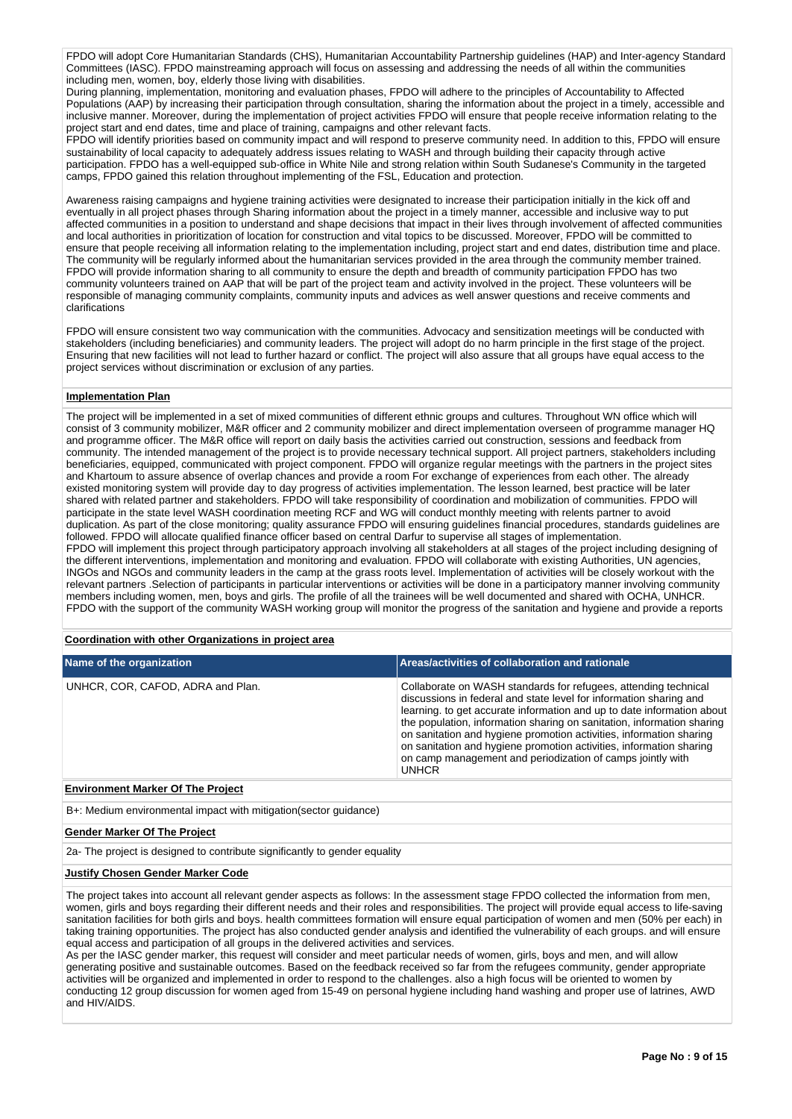FPDO will adopt Core Humanitarian Standards (CHS), Humanitarian Accountability Partnership guidelines (HAP) and Inter-agency Standard Committees (IASC). FPDO mainstreaming approach will focus on assessing and addressing the needs of all within the communities including men, women, boy, elderly those living with disabilities.

During planning, implementation, monitoring and evaluation phases, FPDO will adhere to the principles of Accountability to Affected Populations (AAP) by increasing their participation through consultation, sharing the information about the project in a timely, accessible and inclusive manner. Moreover, during the implementation of project activities FPDO will ensure that people receive information relating to the project start and end dates, time and place of training, campaigns and other relevant facts.

FPDO will identify priorities based on community impact and will respond to preserve community need. In addition to this, FPDO will ensure sustainability of local capacity to adequately address issues relating to WASH and through building their capacity through active participation. FPDO has a well-equipped sub-office in White Nile and strong relation within South Sudanese's Community in the targeted camps, FPDO gained this relation throughout implementing of the FSL, Education and protection.

Awareness raising campaigns and hygiene training activities were designated to increase their participation initially in the kick off and eventually in all project phases through Sharing information about the project in a timely manner, accessible and inclusive way to put affected communities in a position to understand and shape decisions that impact in their lives through involvement of affected communities and local authorities in prioritization of location for construction and vital topics to be discussed. Moreover, FPDO will be committed to ensure that people receiving all information relating to the implementation including, project start and end dates, distribution time and place. The community will be regularly informed about the humanitarian services provided in the area through the community member trained. FPDO will provide information sharing to all community to ensure the depth and breadth of community participation FPDO has two community volunteers trained on AAP that will be part of the project team and activity involved in the project. These volunteers will be responsible of managing community complaints, community inputs and advices as well answer questions and receive comments and clarifications

FPDO will ensure consistent two way communication with the communities. Advocacy and sensitization meetings will be conducted with stakeholders (including beneficiaries) and community leaders. The project will adopt do no harm principle in the first stage of the project. Ensuring that new facilities will not lead to further hazard or conflict. The project will also assure that all groups have equal access to the project services without discrimination or exclusion of any parties.

### **Implementation Plan**

The project will be implemented in a set of mixed communities of different ethnic groups and cultures. Throughout WN office which will consist of 3 community mobilizer, M&R officer and 2 community mobilizer and direct implementation overseen of programme manager HQ and programme officer. The M&R office will report on daily basis the activities carried out construction, sessions and feedback from community. The intended management of the project is to provide necessary technical support. All project partners, stakeholders including beneficiaries, equipped, communicated with project component. FPDO will organize regular meetings with the partners in the project sites and Khartoum to assure absence of overlap chances and provide a room For exchange of experiences from each other. The already existed monitoring system will provide day to day progress of activities implementation. The lesson learned, best practice will be later shared with related partner and stakeholders. FPDO will take responsibility of coordination and mobilization of communities. FPDO will participate in the state level WASH coordination meeting RCF and WG will conduct monthly meeting with relents partner to avoid duplication. As part of the close monitoring; quality assurance FPDO will ensuring guidelines financial procedures, standards guidelines are followed. FPDO will allocate qualified finance officer based on central Darfur to supervise all stages of implementation. FPDO will implement this project through participatory approach involving all stakeholders at all stages of the project including designing of the different interventions, implementation and monitoring and evaluation. FPDO will collaborate with existing Authorities, UN agencies, INGOs and NGOs and community leaders in the camp at the grass roots level. Implementation of activities will be closely workout with the relevant partners .Selection of participants in particular interventions or activities will be done in a participatory manner involving community members including women, men, boys and girls. The profile of all the trainees will be well documented and shared with OCHA, UNHCR. FPDO with the support of the community WASH working group will monitor the progress of the sanitation and hygiene and provide a reports

#### **Coordination with other Organizations in project area**

| Name of the organization          | Areas/activities of collaboration and rationale                                                                                                                                                                                                                                                                                                                                                                                                                                                                       |
|-----------------------------------|-----------------------------------------------------------------------------------------------------------------------------------------------------------------------------------------------------------------------------------------------------------------------------------------------------------------------------------------------------------------------------------------------------------------------------------------------------------------------------------------------------------------------|
| UNHCR, COR, CAFOD, ADRA and Plan. | Collaborate on WASH standards for refugees, attending technical<br>discussions in federal and state level for information sharing and<br>learning, to get accurate information and up to date information about<br>the population, information sharing on sanitation, information sharing<br>on sanitation and hygiene promotion activities, information sharing<br>on sanitation and hygiene promotion activities, information sharing<br>on camp management and periodization of camps jointly with<br><b>UNHCR</b> |

#### **Environment Marker Of The Project**

B+: Medium environmental impact with mitigation(sector guidance)

#### **Gender Marker Of The Project**

2a- The project is designed to contribute significantly to gender equality

### **Justify Chosen Gender Marker Code**

The project takes into account all relevant gender aspects as follows: In the assessment stage FPDO collected the information from men, women, girls and boys regarding their different needs and their roles and responsibilities. The project will provide equal access to life-saving sanitation facilities for both girls and boys. health committees formation will ensure equal participation of women and men (50% per each) in taking training opportunities. The project has also conducted gender analysis and identified the vulnerability of each groups. and will ensure equal access and participation of all groups in the delivered activities and services.

As per the IASC gender marker, this request will consider and meet particular needs of women, girls, boys and men, and will allow generating positive and sustainable outcomes. Based on the feedback received so far from the refugees community, gender appropriate activities will be organized and implemented in order to respond to the challenges. also a high focus will be oriented to women by conducting 12 group discussion for women aged from 15-49 on personal hygiene including hand washing and proper use of latrines, AWD and HIV/AIDS.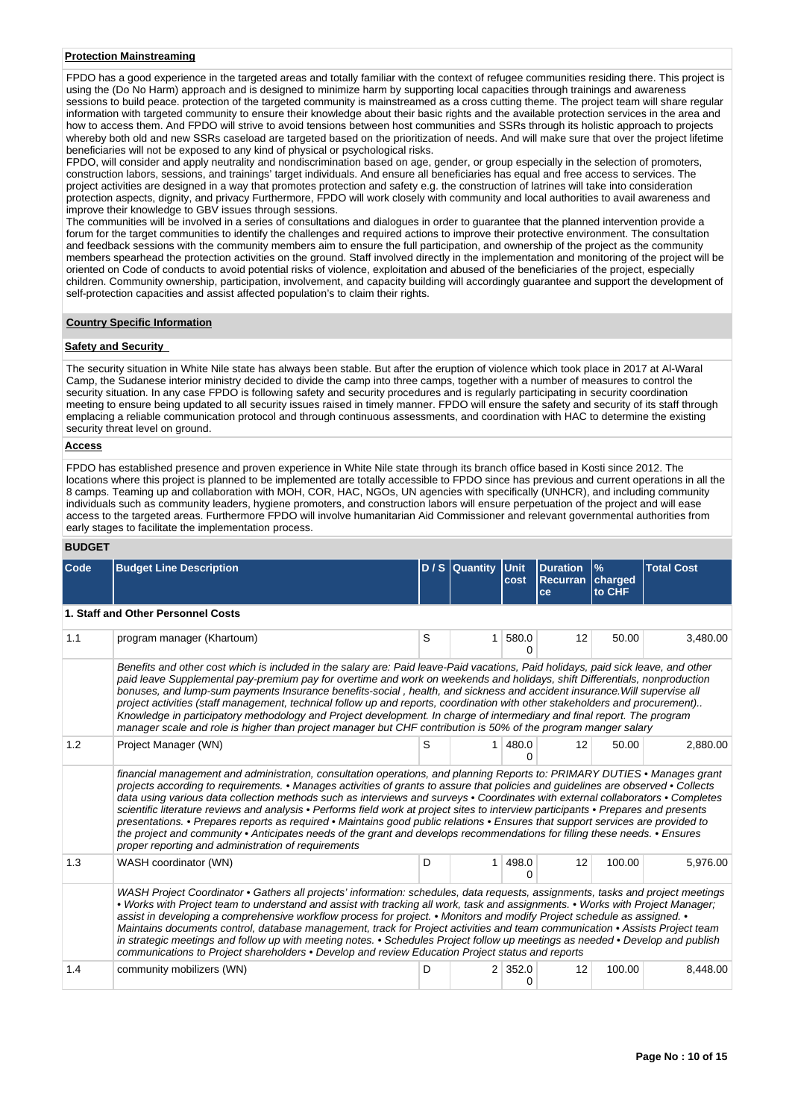### **Protection Mainstreaming**

FPDO has a good experience in the targeted areas and totally familiar with the context of refugee communities residing there. This project is using the (Do No Harm) approach and is designed to minimize harm by supporting local capacities through trainings and awareness sessions to build peace. protection of the targeted community is mainstreamed as a cross cutting theme. The project team will share regular information with targeted community to ensure their knowledge about their basic rights and the available protection services in the area and how to access them. And FPDO will strive to avoid tensions between host communities and SSRs through its holistic approach to projects whereby both old and new SSRs caseload are targeted based on the prioritization of needs. And will make sure that over the project lifetime beneficiaries will not be exposed to any kind of physical or psychological risks.

FPDO, will consider and apply neutrality and nondiscrimination based on age, gender, or group especially in the selection of promoters, construction labors, sessions, and trainings' target individuals. And ensure all beneficiaries has equal and free access to services. The project activities are designed in a way that promotes protection and safety e.g. the construction of latrines will take into consideration protection aspects, dignity, and privacy Furthermore, FPDO will work closely with community and local authorities to avail awareness and improve their knowledge to GBV issues through sessions.

The communities will be involved in a series of consultations and dialogues in order to guarantee that the planned intervention provide a forum for the target communities to identify the challenges and required actions to improve their protective environment. The consultation and feedback sessions with the community members aim to ensure the full participation, and ownership of the project as the community members spearhead the protection activities on the ground. Staff involved directly in the implementation and monitoring of the project will be oriented on Code of conducts to avoid potential risks of violence, exploitation and abused of the beneficiaries of the project, especially children. Community ownership, participation, involvement, and capacity building will accordingly guarantee and support the development of self-protection capacities and assist affected population's to claim their rights.

#### **Country Specific Information**

### **Safety and Security**

The security situation in White Nile state has always been stable. But after the eruption of violence which took place in 2017 at Al-Waral Camp, the Sudanese interior ministry decided to divide the camp into three camps, together with a number of measures to control the security situation. In any case FPDO is following safety and security procedures and is regularly participating in security coordination meeting to ensure being updated to all security issues raised in timely manner. FPDO will ensure the safety and security of its staff through emplacing a reliable communication protocol and through continuous assessments, and coordination with HAC to determine the existing security threat level on ground.

### **Access**

FPDO has established presence and proven experience in White Nile state through its branch office based in Kosti since 2012. The locations where this project is planned to be implemented are totally accessible to FPDO since has previous and current operations in all the 8 camps. Teaming up and collaboration with MOH, COR, HAC, NGOs, UN agencies with specifically (UNHCR), and including community individuals such as community leaders, hygiene promoters, and construction labors will ensure perpetuation of the project and will ease access to the targeted areas. Furthermore FPDO will involve humanitarian Aid Commissioner and relevant governmental authorities from early stages to facilitate the implementation process.

#### **BUDGET**

| Code | <b>Budget Line Description</b>                                                                                                                                                                                                                                                                                                                                                                                                                                                                                                                                                                                                                                                                                                                                                                                                                                   |                                                                                                                                                                                                                                                                                                                                                                                                                                                                                                                                                                                                                                                                                                                                                                           | $D / S$ Quantity | <b>Unit</b><br>cost | <b>Duration</b><br><b>Recurran</b><br>ce | $\%$<br>charged<br>to CHF | <b>Total Cost</b> |  |  |  |  |  |  |
|------|------------------------------------------------------------------------------------------------------------------------------------------------------------------------------------------------------------------------------------------------------------------------------------------------------------------------------------------------------------------------------------------------------------------------------------------------------------------------------------------------------------------------------------------------------------------------------------------------------------------------------------------------------------------------------------------------------------------------------------------------------------------------------------------------------------------------------------------------------------------|---------------------------------------------------------------------------------------------------------------------------------------------------------------------------------------------------------------------------------------------------------------------------------------------------------------------------------------------------------------------------------------------------------------------------------------------------------------------------------------------------------------------------------------------------------------------------------------------------------------------------------------------------------------------------------------------------------------------------------------------------------------------------|------------------|---------------------|------------------------------------------|---------------------------|-------------------|--|--|--|--|--|--|
|      | 1. Staff and Other Personnel Costs                                                                                                                                                                                                                                                                                                                                                                                                                                                                                                                                                                                                                                                                                                                                                                                                                               |                                                                                                                                                                                                                                                                                                                                                                                                                                                                                                                                                                                                                                                                                                                                                                           |                  |                     |                                          |                           |                   |  |  |  |  |  |  |
| 1.1  | program manager (Khartoum)                                                                                                                                                                                                                                                                                                                                                                                                                                                                                                                                                                                                                                                                                                                                                                                                                                       | S                                                                                                                                                                                                                                                                                                                                                                                                                                                                                                                                                                                                                                                                                                                                                                         | 1                | 580.0<br>O          | 12                                       | 50.00                     | 3,480.00          |  |  |  |  |  |  |
|      |                                                                                                                                                                                                                                                                                                                                                                                                                                                                                                                                                                                                                                                                                                                                                                                                                                                                  | Benefits and other cost which is included in the salary are: Paid leave-Paid vacations, Paid holidays, paid sick leave, and other<br>paid leave Supplemental pay-premium pay for overtime and work on weekends and holidays, shift Differentials, nonproduction<br>bonuses, and lump-sum payments Insurance benefits-social, health, and sickness and accident insurance. Will supervise all<br>project activities (staff management, technical follow up and reports, coordination with other stakeholders and procurement)<br>Knowledge in participatory methodology and Project development. In charge of intermediary and final report. The program<br>manager scale and role is higher than project manager but CHF contribution is 50% of the program manger salary |                  |                     |                                          |                           |                   |  |  |  |  |  |  |
| 1.2  | Project Manager (WN)                                                                                                                                                                                                                                                                                                                                                                                                                                                                                                                                                                                                                                                                                                                                                                                                                                             | S                                                                                                                                                                                                                                                                                                                                                                                                                                                                                                                                                                                                                                                                                                                                                                         | 1                | 480.0<br>O          | 12                                       | 50.00                     | 2,880.00          |  |  |  |  |  |  |
|      | financial management and administration, consultation operations, and planning Reports to: PRIMARY DUTIES • Manages grant<br>projects according to requirements. • Manages activities of grants to assure that policies and quidelines are observed • Collects<br>data using various data collection methods such as interviews and surveys • Coordinates with external collaborators • Completes<br>scientific literature reviews and analysis • Performs field work at project sites to interview participants • Prepares and presents<br>presentations. • Prepares reports as required • Maintains good public relations • Ensures that support services are provided to<br>the project and community • Anticipates needs of the grant and develops recommendations for filling these needs. • Ensures<br>proper reporting and administration of requirements |                                                                                                                                                                                                                                                                                                                                                                                                                                                                                                                                                                                                                                                                                                                                                                           |                  |                     |                                          |                           |                   |  |  |  |  |  |  |
| 1.3  | WASH coordinator (WN)                                                                                                                                                                                                                                                                                                                                                                                                                                                                                                                                                                                                                                                                                                                                                                                                                                            | D                                                                                                                                                                                                                                                                                                                                                                                                                                                                                                                                                                                                                                                                                                                                                                         | 1                | 498.0               | 12                                       | 100.00                    | 5,976.00          |  |  |  |  |  |  |
|      | WASH Project Coordinator • Gathers all projects' information: schedules, data requests, assignments, tasks and project meetings<br>• Works with Project team to understand and assist with tracking all work, task and assignments. • Works with Project Manager;<br>assist in developing a comprehensive workflow process for project. • Monitors and modify Project schedule as assigned. •<br>Maintains documents control, database management, track for Project activities and team communication • Assists Project team<br>in strategic meetings and follow up with meeting notes. • Schedules Project follow up meetings as needed • Develop and publish<br>communications to Project shareholders • Develop and review Education Project status and reports                                                                                              |                                                                                                                                                                                                                                                                                                                                                                                                                                                                                                                                                                                                                                                                                                                                                                           |                  |                     |                                          |                           |                   |  |  |  |  |  |  |
| 1.4  | community mobilizers (WN)                                                                                                                                                                                                                                                                                                                                                                                                                                                                                                                                                                                                                                                                                                                                                                                                                                        | D                                                                                                                                                                                                                                                                                                                                                                                                                                                                                                                                                                                                                                                                                                                                                                         |                  | $2 \mid 352.0$      | 12                                       | 100.00                    | 8,448.00          |  |  |  |  |  |  |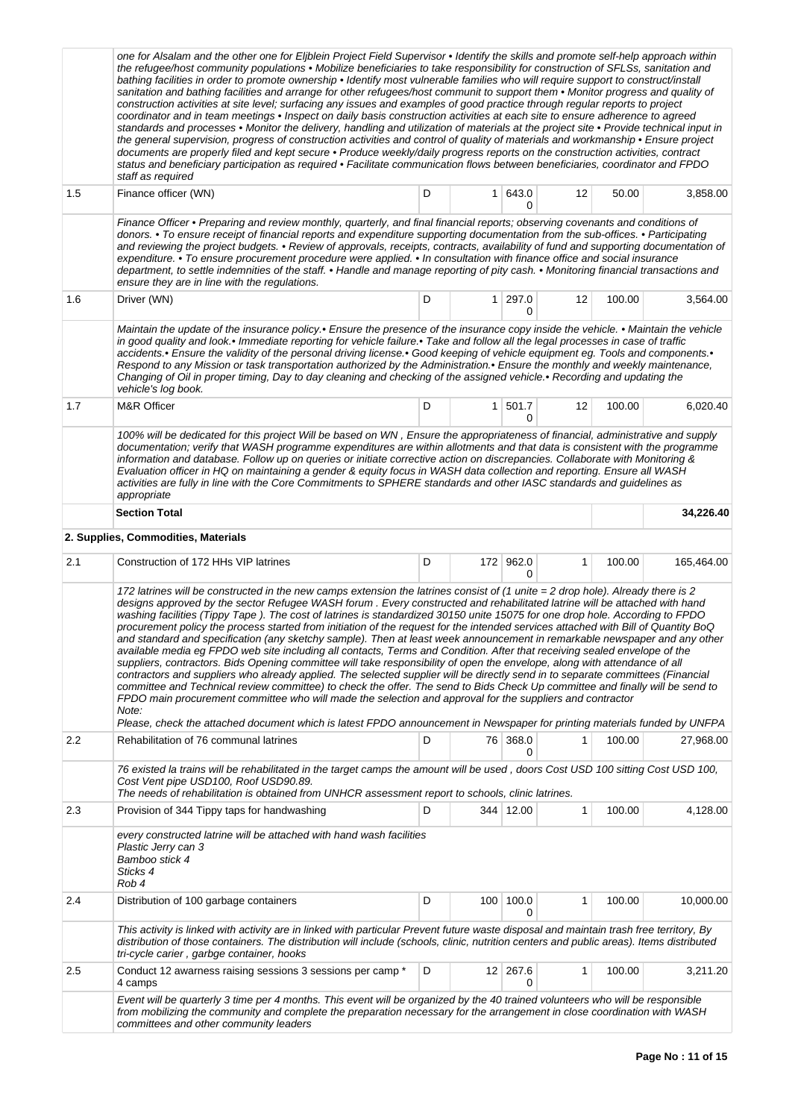|     | one for Alsalam and the other one for Eljblein Project Field Supervisor • Identify the skills and promote self-help approach within<br>the refugee/host community populations • Mobilize beneficiaries to take responsibility for construction of SFLSs, sanitation and<br>bathing facilities in order to promote ownership • Identify most vulnerable families who will require support to construct/install<br>sanitation and bathing facilities and arrange for other refugees/host communit to support them • Monitor progress and quality of<br>construction activities at site level; surfacing any issues and examples of good practice through regular reports to project<br>coordinator and in team meetings • Inspect on daily basis construction activities at each site to ensure adherence to agreed<br>standards and processes • Monitor the delivery, handling and utilization of materials at the project site • Provide technical input in<br>the general supervision, progress of construction activities and control of quality of materials and workmanship . Ensure project<br>documents are properly filed and kept secure • Produce weekly/daily progress reports on the construction activities, contract<br>status and beneficiary participation as required • Facilitate communication flows between beneficiaries, coordinator and FPDO<br>staff as required                                                            |   |                  |                      |              |        |            |
|-----|----------------------------------------------------------------------------------------------------------------------------------------------------------------------------------------------------------------------------------------------------------------------------------------------------------------------------------------------------------------------------------------------------------------------------------------------------------------------------------------------------------------------------------------------------------------------------------------------------------------------------------------------------------------------------------------------------------------------------------------------------------------------------------------------------------------------------------------------------------------------------------------------------------------------------------------------------------------------------------------------------------------------------------------------------------------------------------------------------------------------------------------------------------------------------------------------------------------------------------------------------------------------------------------------------------------------------------------------------------------------------------------------------------------------------------------------------|---|------------------|----------------------|--------------|--------|------------|
| 1.5 | Finance officer (WN)                                                                                                                                                                                                                                                                                                                                                                                                                                                                                                                                                                                                                                                                                                                                                                                                                                                                                                                                                                                                                                                                                                                                                                                                                                                                                                                                                                                                                               | D |                  | 1 643.0<br>O         | 12           | 50.00  | 3,858.00   |
|     | Finance Officer • Preparing and review monthly, quarterly, and final financial reports; observing covenants and conditions of<br>donors. • To ensure receipt of financial reports and expenditure supporting documentation from the sub-offices. • Participating<br>and reviewing the project budgets. • Review of approvals, receipts, contracts, availability of fund and supporting documentation of<br>expenditure. • To ensure procurement procedure were applied. • In consultation with finance office and social insurance<br>department, to settle indemnities of the staff. • Handle and manage reporting of pity cash. • Monitoring financial transactions and<br>ensure they are in line with the regulations.                                                                                                                                                                                                                                                                                                                                                                                                                                                                                                                                                                                                                                                                                                                         |   |                  |                      |              |        |            |
| 1.6 | Driver (WN)                                                                                                                                                                                                                                                                                                                                                                                                                                                                                                                                                                                                                                                                                                                                                                                                                                                                                                                                                                                                                                                                                                                                                                                                                                                                                                                                                                                                                                        | D |                  | 1 297.0<br>0         | 12           | 100.00 | 3,564.00   |
|     | Maintain the update of the insurance policy.• Ensure the presence of the insurance copy inside the vehicle. • Maintain the vehicle<br>in good quality and look.• Immediate reporting for vehicle failure.• Take and follow all the legal processes in case of traffic<br>accidents.• Ensure the validity of the personal driving license.• Good keeping of vehicle equipment eg. Tools and components.•<br>Respond to any Mission or task transportation authorized by the Administration.• Ensure the monthly and weekly maintenance,<br>Changing of Oil in proper timing, Day to day cleaning and checking of the assigned vehicle.• Recording and updating the<br>vehicle's log book.                                                                                                                                                                                                                                                                                                                                                                                                                                                                                                                                                                                                                                                                                                                                                           |   |                  |                      |              |        |            |
| 1.7 | <b>M&amp;R Officer</b>                                                                                                                                                                                                                                                                                                                                                                                                                                                                                                                                                                                                                                                                                                                                                                                                                                                                                                                                                                                                                                                                                                                                                                                                                                                                                                                                                                                                                             | D |                  | $1 \mid 501.7$<br>0  | 12           | 100.00 | 6,020.40   |
|     | 100% will be dedicated for this project Will be based on WN, Ensure the appropriateness of financial, administrative and supply<br>documentation; verify that WASH programme expenditures are within allotments and that data is consistent with the programme<br>information and database. Follow up on queries or initiate corrective action on discrepancies. Collaborate with Monitoring &<br>Evaluation officer in HQ on maintaining a gender & equity focus in WASH data collection and reporting. Ensure all WASH<br>activities are fully in line with the Core Commitments to SPHERE standards and other IASC standards and guidelines as<br>appropriate                                                                                                                                                                                                                                                                                                                                                                                                                                                                                                                                                                                                                                                                                                                                                                                   |   |                  |                      |              |        |            |
|     | <b>Section Total</b>                                                                                                                                                                                                                                                                                                                                                                                                                                                                                                                                                                                                                                                                                                                                                                                                                                                                                                                                                                                                                                                                                                                                                                                                                                                                                                                                                                                                                               |   |                  |                      |              |        | 34,226.40  |
|     | 2. Supplies, Commodities, Materials                                                                                                                                                                                                                                                                                                                                                                                                                                                                                                                                                                                                                                                                                                                                                                                                                                                                                                                                                                                                                                                                                                                                                                                                                                                                                                                                                                                                                |   |                  |                      |              |        |            |
| 2.1 | Construction of 172 HHs VIP latrines                                                                                                                                                                                                                                                                                                                                                                                                                                                                                                                                                                                                                                                                                                                                                                                                                                                                                                                                                                                                                                                                                                                                                                                                                                                                                                                                                                                                               | D |                  | 172 962.0<br>0       | 1            | 100.00 | 165,464.00 |
|     | 172 latrines will be constructed in the new camps extension the latrines consist of (1 unite = 2 drop hole). Already there is 2<br>designs approved by the sector Refugee WASH forum. Every constructed and rehabilitated latrine will be attached with hand<br>washing facilities (Tippy Tape). The cost of latrines is standardized 30150 unite 15075 for one drop hole. According to FPDO<br>procurement policy the process started from initiation of the request for the intended services attached with Bill of Quantity BoQ<br>and standard and specification (any sketchy sample). Then at least week announcement in remarkable newspaper and any other<br>available media eg FPDO web site including all contacts, Terms and Condition. After that receiving sealed envelope of the<br>suppliers, contractors. Bids Opening committee will take responsibility of open the envelope, along with attendance of all<br>contractors and suppliers who already applied. The selected supplier will be directly send in to separate committees (Financial<br>committee and Technical review committee) to check the offer. The send to Bids Check Up committee and finally will be send to<br>FPDO main procurement committee who will made the selection and approval for the suppliers and contractor<br>Note:<br>Please, check the attached document which is latest FPDO announcement in Newspaper for printing materials funded by UNFPA |   |                  |                      |              |        |            |
| 2.2 | Rehabilitation of 76 communal latrines                                                                                                                                                                                                                                                                                                                                                                                                                                                                                                                                                                                                                                                                                                                                                                                                                                                                                                                                                                                                                                                                                                                                                                                                                                                                                                                                                                                                             | D |                  | 76 368.0<br>0        | 1            | 100.00 | 27,968.00  |
|     | 76 existed la trains will be rehabilitated in the target camps the amount will be used, doors Cost USD 100 sitting Cost USD 100,<br>Cost Vent pipe USD100, Roof USD90.89.<br>The needs of rehabilitation is obtained from UNHCR assessment report to schools, clinic latrines.                                                                                                                                                                                                                                                                                                                                                                                                                                                                                                                                                                                                                                                                                                                                                                                                                                                                                                                                                                                                                                                                                                                                                                     |   |                  |                      |              |        |            |
| 2.3 | Provision of 344 Tippy taps for handwashing                                                                                                                                                                                                                                                                                                                                                                                                                                                                                                                                                                                                                                                                                                                                                                                                                                                                                                                                                                                                                                                                                                                                                                                                                                                                                                                                                                                                        | D |                  | 344 12.00            | $\mathbf{1}$ | 100.00 | 4,128.00   |
|     | every constructed latrine will be attached with hand wash facilities<br>Plastic Jerry can 3<br>Bamboo stick 4<br>Sticks 4<br>Rob 4                                                                                                                                                                                                                                                                                                                                                                                                                                                                                                                                                                                                                                                                                                                                                                                                                                                                                                                                                                                                                                                                                                                                                                                                                                                                                                                 |   |                  |                      |              |        |            |
| 2.4 | Distribution of 100 garbage containers                                                                                                                                                                                                                                                                                                                                                                                                                                                                                                                                                                                                                                                                                                                                                                                                                                                                                                                                                                                                                                                                                                                                                                                                                                                                                                                                                                                                             | D | 100 <sup>1</sup> | 100.0<br>0           | 1            | 100.00 | 10,000.00  |
|     | This activity is linked with activity are in linked with particular Prevent future waste disposal and maintain trash free territory, By<br>distribution of those containers. The distribution will include (schools, clinic, nutrition centers and public areas). Items distributed<br>tri-cycle carier, garbge container, hooks                                                                                                                                                                                                                                                                                                                                                                                                                                                                                                                                                                                                                                                                                                                                                                                                                                                                                                                                                                                                                                                                                                                   |   |                  |                      |              |        |            |
| 2.5 | Conduct 12 awarness raising sessions 3 sessions per camp *<br>4 camps                                                                                                                                                                                                                                                                                                                                                                                                                                                                                                                                                                                                                                                                                                                                                                                                                                                                                                                                                                                                                                                                                                                                                                                                                                                                                                                                                                              | D |                  | $12 \mid 267.6$<br>0 | 1            | 100.00 | 3,211.20   |
|     | Event will be quarterly 3 time per 4 months. This event will be organized by the 40 trained volunteers who will be responsible<br>from mobilizing the community and complete the preparation necessary for the arrangement in close coordination with WASH<br>committees and other community leaders                                                                                                                                                                                                                                                                                                                                                                                                                                                                                                                                                                                                                                                                                                                                                                                                                                                                                                                                                                                                                                                                                                                                               |   |                  |                      |              |        |            |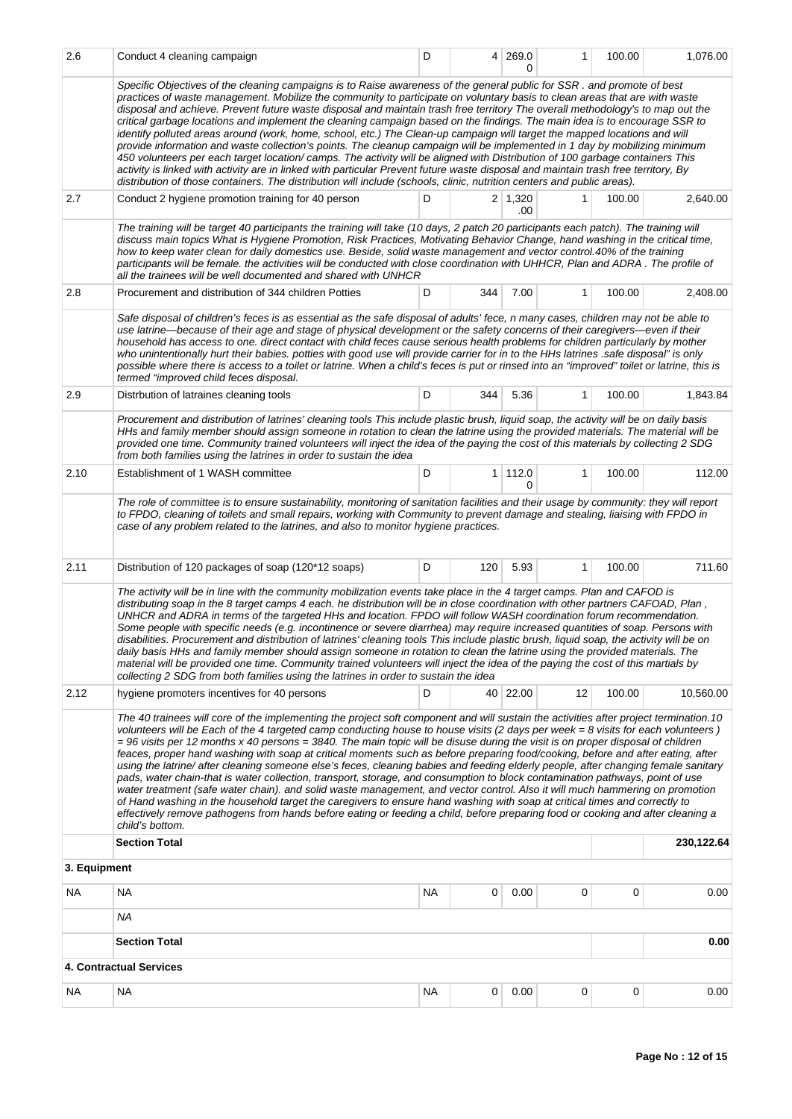| 2.6          | Conduct 4 cleaning campaign                                                                                                                                                                                                                                                                                                                                                                                                                                                                                                                                                                                                                                                                                                                                                                                                                                                                                                                                                                                                                                                                                                                                                                                                                  | D  | 4 <sup>1</sup> | 269.0<br><sup>0</sup> | 1            | 100.00 | 1,076.00   |  |
|--------------|----------------------------------------------------------------------------------------------------------------------------------------------------------------------------------------------------------------------------------------------------------------------------------------------------------------------------------------------------------------------------------------------------------------------------------------------------------------------------------------------------------------------------------------------------------------------------------------------------------------------------------------------------------------------------------------------------------------------------------------------------------------------------------------------------------------------------------------------------------------------------------------------------------------------------------------------------------------------------------------------------------------------------------------------------------------------------------------------------------------------------------------------------------------------------------------------------------------------------------------------|----|----------------|-----------------------|--------------|--------|------------|--|
|              | Specific Objectives of the cleaning campaigns is to Raise awareness of the general public for SSR. and promote of best<br>practices of waste management. Mobilize the community to participate on voluntary basis to clean areas that are with waste<br>disposal and achieve. Prevent future waste disposal and maintain trash free territory The overall methodology's to map out the<br>critical garbage locations and implement the cleaning campaign based on the findings. The main idea is to encourage SSR to<br>identify polluted areas around (work, home, school, etc.) The Clean-up campaign will target the mapped locations and will<br>provide information and waste collection's points. The cleanup campaign will be implemented in 1 day by mobilizing minimum<br>450 volunteers per each target location/camps. The activity will be aligned with Distribution of 100 garbage containers This<br>activity is linked with activity are in linked with particular Prevent future waste disposal and maintain trash free territory, By<br>distribution of those containers. The distribution will include (schools, clinic, nutrition centers and public areas).                                                              |    |                |                       |              |        |            |  |
| 2.7          | Conduct 2 hygiene promotion training for 40 person                                                                                                                                                                                                                                                                                                                                                                                                                                                                                                                                                                                                                                                                                                                                                                                                                                                                                                                                                                                                                                                                                                                                                                                           | D  |                | 2 1,320<br>.00        | 1            | 100.00 | 2,640.00   |  |
|              | The training will be target 40 participants the training will take (10 days, 2 patch 20 participants each patch). The training will<br>discuss main topics What is Hygiene Promotion, Risk Practices, Motivating Behavior Change, hand washing in the critical time,<br>how to keep water clean for daily domestics use. Beside, solid waste management and vector control.40% of the training<br>participants will be female. the activities will be conducted with close coordination with UHHCR, Plan and ADRA. The profile of<br>all the trainees will be well documented and shared with UNHCR                                                                                                                                                                                                                                                                                                                                                                                                                                                                                                                                                                                                                                          |    |                |                       |              |        |            |  |
| 2.8          | Procurement and distribution of 344 children Potties                                                                                                                                                                                                                                                                                                                                                                                                                                                                                                                                                                                                                                                                                                                                                                                                                                                                                                                                                                                                                                                                                                                                                                                         | D  | 344            | 7.00                  | 1            | 100.00 | 2,408.00   |  |
|              | Safe disposal of children's feces is as essential as the safe disposal of adults' fece, n many cases, children may not be able to<br>use latrine—because of their age and stage of physical development or the safety concerns of their caregivers—even if their<br>household has access to one. direct contact with child feces cause serious health problems for children particularly by mother<br>who unintentionally hurt their babies. potties with good use will provide carrier for in to the HHs latrines .safe disposal" is only<br>possible where there is access to a toilet or latrine. When a child's feces is put or rinsed into an "improved" toilet or latrine, this is<br>termed "improved child feces disposal.                                                                                                                                                                                                                                                                                                                                                                                                                                                                                                           |    |                |                       |              |        |            |  |
| 2.9          | Distrbution of latraines cleaning tools                                                                                                                                                                                                                                                                                                                                                                                                                                                                                                                                                                                                                                                                                                                                                                                                                                                                                                                                                                                                                                                                                                                                                                                                      | D  | 344            | 5.36                  | 1            | 100.00 | 1,843.84   |  |
|              | Procurement and distribution of latrines' cleaning tools This include plastic brush, liquid soap, the activity will be on daily basis<br>HHs and family member should assign someone in rotation to clean the latrine using the provided materials. The material will be<br>provided one time. Community trained volunteers will inject the idea of the paying the cost of this materials by collecting 2 SDG<br>from both families using the latrines in order to sustain the idea                                                                                                                                                                                                                                                                                                                                                                                                                                                                                                                                                                                                                                                                                                                                                          |    |                |                       |              |        |            |  |
| 2.10         | Establishment of 1 WASH committee                                                                                                                                                                                                                                                                                                                                                                                                                                                                                                                                                                                                                                                                                                                                                                                                                                                                                                                                                                                                                                                                                                                                                                                                            | D  |                | 1 112.0<br>0          | 1            | 100.00 | 112.00     |  |
|              | The role of committee is to ensure sustainability, monitoring of sanitation facilities and their usage by community: they will report<br>to FPDO, cleaning of toilets and small repairs, working with Community to prevent damage and stealing, liaising with FPDO in<br>case of any problem related to the latrines, and also to monitor hygiene practices.                                                                                                                                                                                                                                                                                                                                                                                                                                                                                                                                                                                                                                                                                                                                                                                                                                                                                 |    |                |                       |              |        |            |  |
| 2.11         | Distribution of 120 packages of soap (120*12 soaps)                                                                                                                                                                                                                                                                                                                                                                                                                                                                                                                                                                                                                                                                                                                                                                                                                                                                                                                                                                                                                                                                                                                                                                                          | D  | 120            | 5.93                  | $\mathbf{1}$ | 100.00 | 711.60     |  |
|              | The activity will be in line with the community mobilization events take place in the 4 target camps. Plan and CAFOD is<br>distributing soap in the 8 target camps 4 each. he distribution will be in close coordination with other partners CAFOAD, Plan,<br>UNHCR and ADRA in terms of the targeted HHs and location. FPDO will follow WASH coordination forum recommendation.<br>Some people with specific needs (e.g. incontinence or severe diarrhea) may require increased quantities of soap. Persons with<br>disabilities. Procurement and distribution of latrines' cleaning tools This include plastic brush, liquid soap, the activity will be on<br>daily basis HHs and family member should assign someone in rotation to clean the latrine using the provided materials. The<br>material will be provided one time. Community trained volunteers will inject the idea of the paying the cost of this martials by<br>collecting 2 SDG from both families using the latrines in order to sustain the idea                                                                                                                                                                                                                        |    |                |                       |              |        |            |  |
| 2.12         | hygiene promoters incentives for 40 persons                                                                                                                                                                                                                                                                                                                                                                                                                                                                                                                                                                                                                                                                                                                                                                                                                                                                                                                                                                                                                                                                                                                                                                                                  | D  |                | 40 22.00              | 12           | 100.00 | 10,560.00  |  |
|              | The 40 trainees will core of the implementing the project soft component and will sustain the activities after project termination.10<br>volunteers will be Each of the 4 targeted camp conducting house to house visits (2 days per week = 8 visits for each volunteers)<br>$=$ 96 visits per 12 months x 40 persons = 3840. The main topic will be disuse during the visit is on proper disposal of children<br>feaces, proper hand washing with soap at critical moments such as before preparing food/cooking, before and after eating, after<br>using the latrine/ after cleaning someone else's feces, cleaning babies and feeding elderly people, after changing female sanitary<br>pads, water chain-that is water collection, transport, storage, and consumption to block contamination pathways, point of use<br>water treatment (safe water chain). and solid waste management, and vector control. Also it will much hammering on promotion<br>of Hand washing in the household target the caregivers to ensure hand washing with soap at critical times and correctly to<br>effectively remove pathogens from hands before eating or feeding a child, before preparing food or cooking and after cleaning a<br>child's bottom. |    |                |                       |              |        |            |  |
|              | <b>Section Total</b>                                                                                                                                                                                                                                                                                                                                                                                                                                                                                                                                                                                                                                                                                                                                                                                                                                                                                                                                                                                                                                                                                                                                                                                                                         |    |                |                       |              |        | 230,122.64 |  |
| 3. Equipment |                                                                                                                                                                                                                                                                                                                                                                                                                                                                                                                                                                                                                                                                                                                                                                                                                                                                                                                                                                                                                                                                                                                                                                                                                                              |    |                |                       |              |        |            |  |
| <b>NA</b>    | <b>NA</b>                                                                                                                                                                                                                                                                                                                                                                                                                                                                                                                                                                                                                                                                                                                                                                                                                                                                                                                                                                                                                                                                                                                                                                                                                                    | ΝA | 0              | 0.00                  | $\mathbf 0$  | 0      | 0.00       |  |
|              | <b>NA</b>                                                                                                                                                                                                                                                                                                                                                                                                                                                                                                                                                                                                                                                                                                                                                                                                                                                                                                                                                                                                                                                                                                                                                                                                                                    |    |                |                       |              |        |            |  |
|              | <b>Section Total</b>                                                                                                                                                                                                                                                                                                                                                                                                                                                                                                                                                                                                                                                                                                                                                                                                                                                                                                                                                                                                                                                                                                                                                                                                                         |    |                |                       |              |        | 0.00       |  |
|              | 4. Contractual Services                                                                                                                                                                                                                                                                                                                                                                                                                                                                                                                                                                                                                                                                                                                                                                                                                                                                                                                                                                                                                                                                                                                                                                                                                      |    |                |                       |              |        |            |  |
| NA           | <b>NA</b>                                                                                                                                                                                                                                                                                                                                                                                                                                                                                                                                                                                                                                                                                                                                                                                                                                                                                                                                                                                                                                                                                                                                                                                                                                    | ΝA | 0              | 0.00                  | 0            | 0      | 0.00       |  |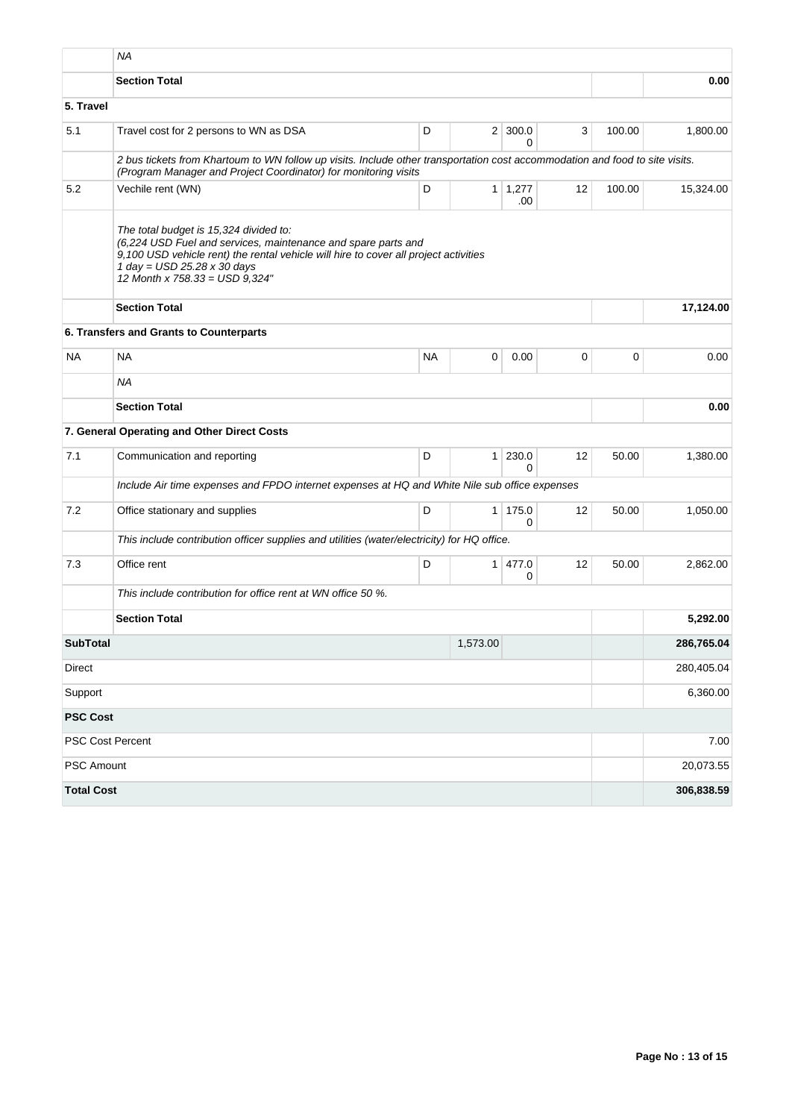|                   | <b>NA</b>                                                                                                                                                                                                                                                          |           |                |                       |                   |        |            |
|-------------------|--------------------------------------------------------------------------------------------------------------------------------------------------------------------------------------------------------------------------------------------------------------------|-----------|----------------|-----------------------|-------------------|--------|------------|
|                   | <b>Section Total</b>                                                                                                                                                                                                                                               |           |                |                       |                   |        | 0.00       |
| 5. Travel         |                                                                                                                                                                                                                                                                    |           |                |                       |                   |        |            |
| 5.1               | Travel cost for 2 persons to WN as DSA                                                                                                                                                                                                                             | D         |                | $2 \mid 300.0$<br>0   | 3                 | 100.00 | 1,800.00   |
|                   | 2 bus tickets from Khartoum to WN follow up visits. Include other transportation cost accommodation and food to site visits.<br>(Program Manager and Project Coordinator) for monitoring visits                                                                    |           |                |                       |                   |        |            |
| 5.2               | Vechile rent (WN)                                                                                                                                                                                                                                                  | D         |                | $1 \mid 1,277$<br>.00 | 12                | 100.00 | 15,324.00  |
|                   | The total budget is 15,324 divided to:<br>(6,224 USD Fuel and services, maintenance and spare parts and<br>9,100 USD vehicle rent) the rental vehicle will hire to cover all project activities<br>1 day = $USD$ 25.28 x 30 days<br>12 Month x 758.33 = USD 9,324" |           |                |                       |                   |        |            |
|                   | <b>Section Total</b>                                                                                                                                                                                                                                               |           |                |                       |                   |        | 17,124.00  |
|                   | 6. Transfers and Grants to Counterparts                                                                                                                                                                                                                            |           |                |                       |                   |        |            |
| <b>NA</b>         | <b>NA</b>                                                                                                                                                                                                                                                          | <b>NA</b> | 0              | 0.00                  | $\mathbf 0$       | 0      | 0.00       |
|                   | <b>NA</b>                                                                                                                                                                                                                                                          |           |                |                       |                   |        |            |
|                   | <b>Section Total</b>                                                                                                                                                                                                                                               |           |                | 0.00                  |                   |        |            |
|                   | 7. General Operating and Other Direct Costs                                                                                                                                                                                                                        |           |                |                       |                   |        |            |
| 7.1               | Communication and reporting                                                                                                                                                                                                                                        | D         | 1 <sup>1</sup> | 230.0<br>0            | 12                | 50.00  | 1,380.00   |
|                   | Include Air time expenses and FPDO internet expenses at HQ and White Nile sub office expenses                                                                                                                                                                      |           |                |                       |                   |        |            |
| 7.2               | Office stationary and supplies                                                                                                                                                                                                                                     | D         | $\mathbf{1}$   | 175.0<br>0            | $12 \overline{ }$ | 50.00  | 1,050.00   |
|                   | This include contribution officer supplies and utilities (water/electricity) for HQ office.                                                                                                                                                                        |           |                |                       |                   |        |            |
| 7.3               | Office rent                                                                                                                                                                                                                                                        | D         | 1 <sup>1</sup> | 477.0<br>0            | 12                | 50.00  | 2,862.00   |
|                   | This include contribution for office rent at WN office 50 %.                                                                                                                                                                                                       |           |                |                       |                   |        |            |
|                   | <b>Section Total</b>                                                                                                                                                                                                                                               |           |                |                       |                   |        | 5,292.00   |
| <b>SubTotal</b>   |                                                                                                                                                                                                                                                                    |           | 1,573.00       |                       |                   |        | 286,765.04 |
| Direct            |                                                                                                                                                                                                                                                                    |           |                |                       |                   |        | 280,405.04 |
| Support           |                                                                                                                                                                                                                                                                    |           |                |                       |                   |        | 6,360.00   |
| <b>PSC Cost</b>   |                                                                                                                                                                                                                                                                    |           |                |                       |                   |        |            |
|                   | PSC Cost Percent                                                                                                                                                                                                                                                   |           |                |                       |                   |        | 7.00       |
| PSC Amount        |                                                                                                                                                                                                                                                                    |           |                |                       |                   |        | 20,073.55  |
| <b>Total Cost</b> |                                                                                                                                                                                                                                                                    |           |                |                       |                   |        | 306,838.59 |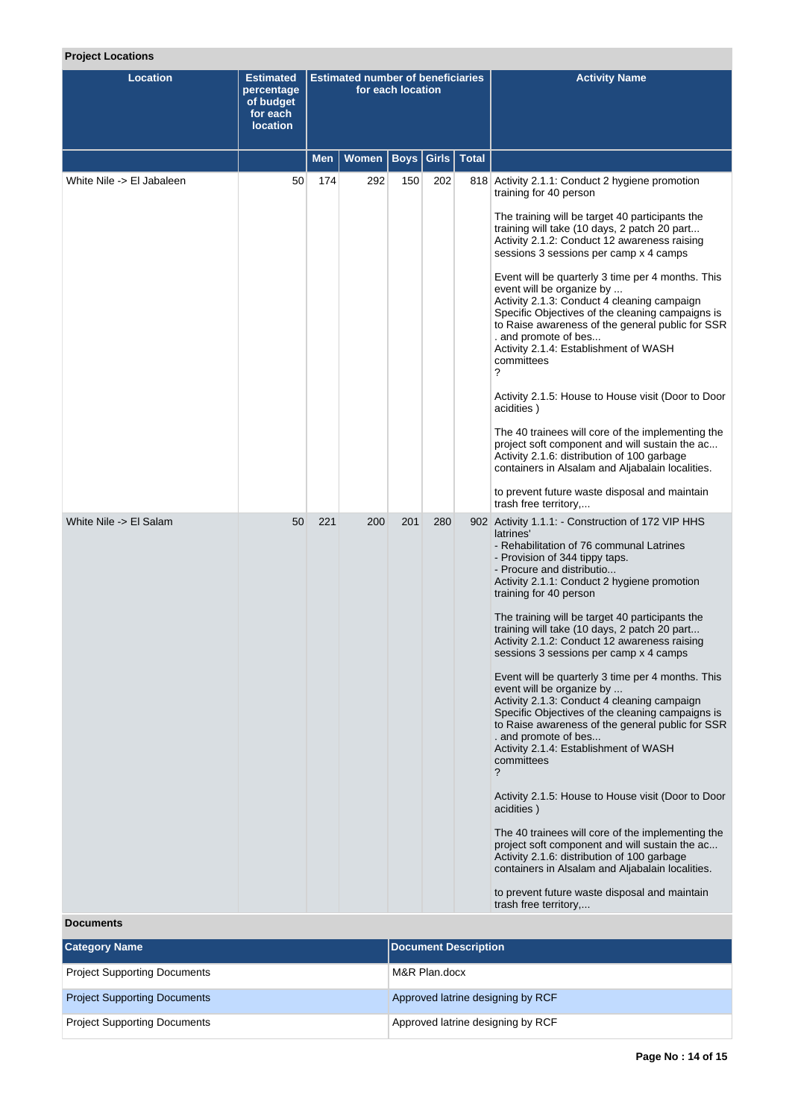# **Project Locations**

| <b>Location</b>           | <b>Estimated</b><br>percentage<br>of budget<br>for each<br><b>location</b> | <b>Estimated number of beneficiaries</b><br>for each location |              |     |                       |              | <b>Activity Name</b>                                                                                                                                                                                                                                                                                                                                                                                                                                                                                                                                                                                                                                                                                                                                                                                                                                                                                                                                                                                                                                                                                                                                          |
|---------------------------|----------------------------------------------------------------------------|---------------------------------------------------------------|--------------|-----|-----------------------|--------------|---------------------------------------------------------------------------------------------------------------------------------------------------------------------------------------------------------------------------------------------------------------------------------------------------------------------------------------------------------------------------------------------------------------------------------------------------------------------------------------------------------------------------------------------------------------------------------------------------------------------------------------------------------------------------------------------------------------------------------------------------------------------------------------------------------------------------------------------------------------------------------------------------------------------------------------------------------------------------------------------------------------------------------------------------------------------------------------------------------------------------------------------------------------|
|                           |                                                                            | Men                                                           | <b>Women</b> |     | <b>Boys   Girls  </b> | <b>Total</b> |                                                                                                                                                                                                                                                                                                                                                                                                                                                                                                                                                                                                                                                                                                                                                                                                                                                                                                                                                                                                                                                                                                                                                               |
| White Nile -> El Jabaleen | 50                                                                         | 174                                                           | 292          | 150 | 202                   |              | 818 Activity 2.1.1: Conduct 2 hygiene promotion<br>training for 40 person<br>The training will be target 40 participants the<br>training will take (10 days, 2 patch 20 part<br>Activity 2.1.2: Conduct 12 awareness raising<br>sessions 3 sessions per camp x 4 camps<br>Event will be quarterly 3 time per 4 months. This<br>event will be organize by<br>Activity 2.1.3: Conduct 4 cleaning campaign<br>Specific Objectives of the cleaning campaigns is<br>to Raise awareness of the general public for SSR<br>. and promote of bes<br>Activity 2.1.4: Establishment of WASH<br>committees<br>?<br>Activity 2.1.5: House to House visit (Door to Door<br>acidities)<br>The 40 trainees will core of the implementing the<br>project soft component and will sustain the ac<br>Activity 2.1.6: distribution of 100 garbage<br>containers in Alsalam and Aljabalain localities.<br>to prevent future waste disposal and maintain                                                                                                                                                                                                                            |
| White Nile -> El Salam    | 50                                                                         | 221                                                           | 200          | 201 | 280                   |              | trash free territory,<br>902 Activity 1.1.1: - Construction of 172 VIP HHS<br>latrines'<br>- Rehabilitation of 76 communal Latrines<br>- Provision of 344 tippy taps.<br>- Procure and distributio<br>Activity 2.1.1: Conduct 2 hygiene promotion<br>training for 40 person<br>The training will be target 40 participants the<br>training will take (10 days, 2 patch 20 part<br>Activity 2.1.2: Conduct 12 awareness raising<br>sessions 3 sessions per camp x 4 camps<br>Event will be quarterly 3 time per 4 months. This<br>event will be organize by<br>Activity 2.1.3: Conduct 4 cleaning campaign<br>Specific Objectives of the cleaning campaigns is<br>to Raise awareness of the general public for SSR<br>. and promote of bes<br>Activity 2.1.4: Establishment of WASH<br>committees<br>?<br>Activity 2.1.5: House to House visit (Door to Door<br>acidities)<br>The 40 trainees will core of the implementing the<br>project soft component and will sustain the ac<br>Activity 2.1.6: distribution of 100 garbage<br>containers in Alsalam and Aljabalain localities.<br>to prevent future waste disposal and maintain<br>trash free territory, |

# **Documents**

| <b>Category Name</b>                | <b>Document Description</b>       |
|-------------------------------------|-----------------------------------|
| <b>Project Supporting Documents</b> | M&R Plan.docx                     |
| <b>Project Supporting Documents</b> | Approved latrine designing by RCF |
| <b>Project Supporting Documents</b> | Approved latrine designing by RCF |